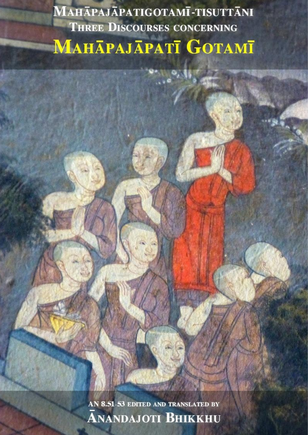MAHĀPAJĀPATIGOTAMĪ-TISUTTĀNI **THREE DISCOURSES CONCERNING МАНАРАЈАРАТІ GOTAMI** 

> AN 8.51-53 EDITED AND TRANSLATED BY **ANANDAJOTI BHIKKHU**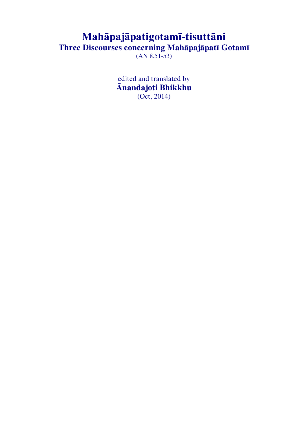# **Mahāpajāpatigotamī-tisuttāni**

**Three Discourses concerning Mahāpajāpatī Gotamī**

 $(AN 8.51-53)$ 

edited and translated by **Ānandajoti Bhikkhu** (Oct, 2014)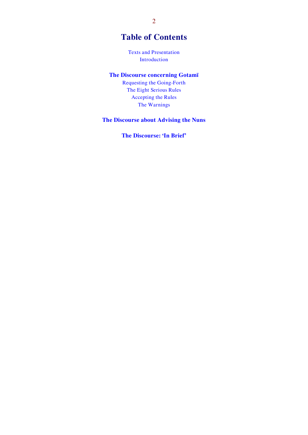## **Table of Contents**

[Texts and Presentation](#page-3-0) [Introduction](#page-4-0)

## **[The Discourse concerning Gotamī](#page-9-0)**

[Requesting the Going-Forth](#page-9-1) [The Eight Serious Rules](#page-22-0) [Accepting the Rules](#page-29-0) [The Warnings](#page-33-0)

## **[The Discourse about Advising the Nuns](#page-39-0)**

**[The Discourse: 'In Brief'](#page-43-0)**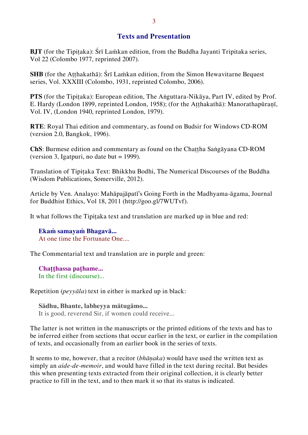## <span id="page-3-0"></span>**Texts and Presentation**

**BJT** (for the Tipitaka): Śrī Laṁkan edition, from the Buddha Jayanti Tripitaka series, Vol 22 (Colombo 1977, reprinted 2007).

**SHB** (for the Atthakathā): Śrī Lamkan edition, from the Simon Hewavitarne Bequest series, Vol. XXXIII (Colombo, 1931, reprinted Colombo, 2006).

**PTS** (for the Tipitaka): European edition, The Anguttara-Nikāya, Part IV, edited by Prof. E. Hardy (London 1899, reprinted London, 1958); (for the Aṭṭhakathā): Manorathapūraṇī, Vol. IV, (London 1940, reprinted London, 1979).

**RTE**: Royal Thai edition and commentary, as found on Budsir for Windows CD-ROM (version 2.0, Bangkok, 1996).

**ChS**: Burmese edition and commentary as found on the Chaṭṭha Saṅgāyana CD-ROM (version 3, Igatpuri, no date but  $= 1999$ ).

Translation of Tipiṭaka Text: Bhikkhu Bodhi, The Numerical Discourses of the Buddha (Wisdom Publications, Somerville, 2012).

Article by Ven. Analayo: Mahāpajāpatī's Going Forth in the Madhyama-āgama, Journal for Buddhist Ethics, Vol 18, 2011 (http://goo.gl/7WUTvf).

It what follows the Tipiṭaka text and translation are marked up in blue and red:

**Ekaṁ samayaṁ Bhagavā...** At one time the Fortunate One....

The Commentarial text and translation are in purple and green:

**Chaṭṭhassa paṭhame...**  In the first (discourse)...

Repetition (*peyyāla*) text in either is marked up in black:

**Sādhu, Bhante, labheyya mātugāmo...**  It is good, reverend Sir, if women could receive...

The latter is not written in the manuscripts or the printed editions of the texts and has to be inferred either from sections that occur earlier in the text, or earlier in the compilation of texts, and occasionally from an earlier book in the series of texts.

It seems to me, however, that a recitor (*bhāṇaka*) would have used the written text as simply an *aide-de-memoir*, and would have filled in the text during recital. But besides this when presenting texts extracted from their original collection, it is clearly better practice to fill in the text, and to then mark it so that its status is indicated.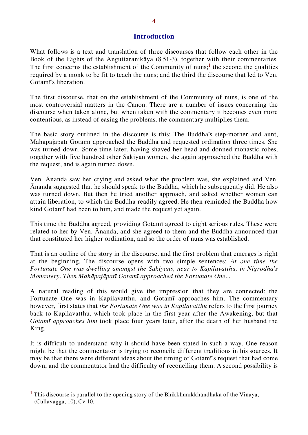<span id="page-4-0"></span>What follows is a text and translation of three discourses that follow each other in the Book of the Eights of the Aṅguttaranikāya (8.51-3), together with their commentaries. The first concerns the establishment of the Community of nuns;<sup>1</sup> the second the qualities required by a monk to be fit to teach the nuns; and the third the discourse that led to Ven. Gotamī's liberation.

The first discourse, that on the establishment of the Community of nuns, is one of the most controversial matters in the Canon. There are a number of issues concerning the discourse when taken alone, but when taken with the commentary it becomes even more contentious, as instead of easing the problems, the commentary multiplies them.

The basic story outlined in the discourse is this: The Buddha's step-mother and aunt, Mahāpajāpatī Gotamī approached the Buddha and requested ordination three times. She was turned down. Some time later, having shaved her head and donned monastic robes, together with five hundred other Sakiyan women, she again approached the Buddha with the request, and is again turned down.

Ven. Ānanda saw her crying and asked what the problem was, she explained and Ven. Ānanda suggested that he should speak to the Buddha, which he subsequently did. He also was turned down. But then he tried another approach, and asked whether women can attain liberation, to which the Buddha readily agreed. He then reminded the Buddha how kind Gotamī had been to him, and made the request yet again.

This time the Buddha agreed, providing Gotamī agreed to eight serious rules. These were related to her by Ven. Ānanda, and she agreed to them and the Buddha announced that that constituted her higher ordination, and so the order of nuns was established.

That is an outline of the story in the discourse, and the first problem that emerges is right at the beginning. The discourse opens with two simple sentences: *At one time the Fortunate One was dwelling amongst the Sakiyans, near to Kapilavatthu, in Nigrodha's Monastery. Then Mahāpajāpatī Gotamī approached the Fortunate One*...

A natural reading of this would give the impression that they are connected: the Fortunate One was in Kapilavatthu, and Gotamī approaches him. The commentary however, first states that *the Fortunate One was in Kapilavatthu* refers to the first journey back to Kapilavatthu, which took place in the first year after the Awakening, but that *Gotamī approaches him* took place four years later, after the death of her husband the King.

It is difficult to understand why it should have been stated in such a way. One reason might be that the commentator is trying to reconcile different traditions in his sources. It may be that there were different ideas about the timing of Gotamī's request that had come down, and the commentator had the difficulty of reconciling them. A second possibility is

<sup>&</sup>lt;sup>1</sup> This discourse is parallel to the opening story of the Bhikkhunīkkhandhaka of the Vinaya, (Cullavagga, 10), Cv 10.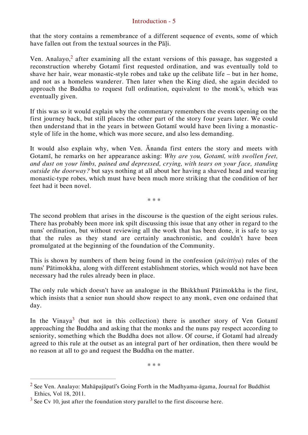that the story contains a remembrance of a different sequence of events, some of which have fallen out from the textual sources in the Pāli.

Ven. Analayo,<sup>2</sup> after examining all the extant versions of this passage, has suggested a reconstruction whereby Gotamī first requested ordination, and was eventually told to shave her hair, wear monastic-style robes and take up the celibate life – but in her home, and not as a homeless wanderer. Then later when the King died, she again decided to approach the Buddha to request full ordination, equivalent to the monk's, which was eventually given.

If this was so it would explain why the commentary remembers the events opening on the first journey back, but still places the other part of the story four years later. We could then understand that in the years in between Gotamī would have been living a monasticstyle of life in the home, which was more secure, and also less demanding.

It would also explain why, when Ven. Ānanda first enters the story and meets with Gotamī, he remarks on her appearance asking: *Why are you, Gotamī, with swollen feet, and dust on your limbs, pained and depressed, crying, with tears on your face, standing outside the doorway?* but says nothing at all about her having a shaved head and wearing monastic-type robes, which must have been much more striking that the condition of her feet had it been novel.

\* \* \*

The second problem that arises in the discourse is the question of the eight serious rules. There has probably been more ink spilt discussing this issue that any other in regard to the nuns' ordination, but without reviewing all the work that has been done, it is safe to say that the rules as they stand are certainly anachronistic, and couldn't have been promulgated at the beginning of the foundation of the Community.

This is shown by numbers of them being found in the confession (*pācittiya*) rules of the nuns' Pātimokkha, along with different establishment stories, which would not have been necessary had the rules already been in place.

The only rule which doesn't have an analogue in the Bhikkhunī Pātimokkha is the first, which insists that a senior nun should show respect to any monk, even one ordained that day.

In the Vinaya<sup>3</sup> (but not in this collection) there is another story of Ven Gotami approaching the Buddha and asking that the monks and the nuns pay respect according to seniority, something which the Buddha does not allow. Of course, if Gotamī had already agreed to this rule at the outset as an integral part of her ordination, then there would be no reason at all to go and request the Buddha on the matter.

\* \* \*

<sup>&</sup>lt;sup>2</sup> See Ven. Analayo: Mahāpajāpatī's Going Forth in the Madhyama-āgama, Journal for Buddhist Ethics, Vol 18, 2011.

 $3$  See Cv 10, just after the foundation story parallel to the first discourse here.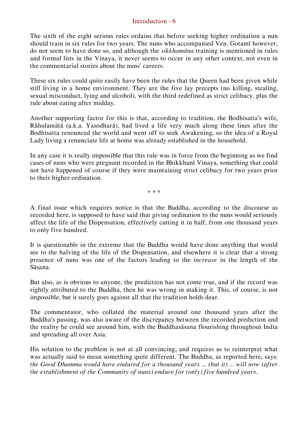The sixth of the eight serious rules ordains that before seeking higher ordination a nun should train in six rules for two years. The nuns who accompanied Ven. Gotamī however, do not seem to have done so, and although the *sikkhamāna* training is mentioned in rules and formal lists in the Vinaya, it never seems to occur in any other context, not even in the commentarial stories about the nuns' careers.

These six rules could quite easily have been the rules that the Queen had been given while still living in a home environment. They are the five lay precepts (no killing, stealing, sexual misconduct, lying and alcohol), with the third redefined as strict celibacy, plus the rule about eating after midday.

Another supporting factor for this is that, according to tradition, the Bodhisatta's wife, Rāhulamātā (a.k.a. Yasodharā), had lived a life very much along these lines after the Bodhisatta renounced the world and went off to seek Awakening, so the idea of a Royal Lady living a renunciate life at home was already established in the household.

In any case it is really impossible that this rule was in force from the beginning as we find cases of nuns who were pregnant recorded in the Bhikkhunī Vinaya, something that could not have happened of course if they were maintaining strict celibacy for two years prior to their higher ordination.

\* \* \*

A final issue which requires notice is that the Buddha, according to the discourse as recorded here, is supposed to have said that giving ordination to the nuns would seriously affect the life of the Dispensation, effectively cutting it in half, from one thousand years to only five hundred.

It is questionable in the extreme that the Buddha would have done anything that would see to the halving of the life of the Dispensation, and elsewhere it is clear that a strong presence of nuns was one of the factors leading to the *increase* in the length of the Sāsana.

But also, as is obvious to anyone, the prediction has not come true, and if the record was rightly attributed to the Buddha, then he was wrong in making it. This, of course, is not impossible, but it surely goes against all that the tradition holds dear.

The commentator, who collated the material around one thousand years after the Buddha's passing, was also aware of the discrepancy between the recorded prediction and the reality he could see around him, with the Buddhasāsana flourishing throughout India and spreading all over Asia.

His solution to the problem is not at all convincing, and requires us to reinterpret what was actually said to mean something quite different. The Buddha, as reported here, says: *the Good Dhamma would have endured for a thousand years ... (but it) ... will now (after the establishment of the Community of nuns) endure for (only) five hundred years*.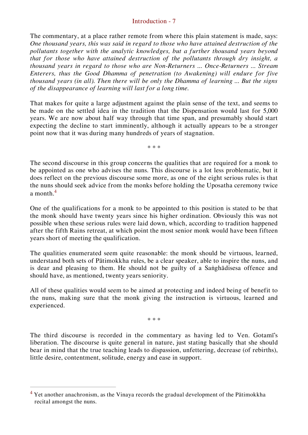The commentary, at a place rather remote from where this plain statement is made, says: *One thousand years, this was said in regard to those who have attained destruction of the pollutants together with the analytic knowledges, but a further thousand years beyond that for those who have attained destruction of the pollutants through dry insight, a thousand years in regard to those who are Non-Returners ... Once-Returners ... Stream Enterers, thus the Good Dhamma of penetration (to Awakening) will endure for five thousand years (in all). Then there will be only the Dhamma of learning ... But the signs of the disappearance of learning will last for a long time.*

That makes for quite a large adjustment against the plain sense of the text, and seems to be made on the settled idea in the tradition that the Dispensation would last for 5,000 years. We are now about half way through that time span, and presumably should start expecting the decline to start imminently, although it actually appears to be a stronger point now that it was during many hundreds of years of stagnation.

\* \* \*

The second discourse in this group concerns the qualities that are required for a monk to be appointed as one who advises the nuns. This discourse is a lot less problematic, but it does reflect on the previous discourse some more, as one of the eight serious rules is that the nuns should seek advice from the monks before holding the Uposatha ceremony twice a month  $4$ 

One of the qualifications for a monk to be appointed to this position is stated to be that the monk should have twenty years since his higher ordination. Obviously this was not possible when these serious rules were laid down, which, according to tradition happened after the fifth Rains retreat, at which point the most senior monk would have been fifteen years short of meeting the qualification.

The qualities enumerated seem quite reasonable: the monk should be virtuous, learned, understand both sets of Pātimokkha rules, be a clear speaker, able to inspire the nuns, and is dear and pleasing to them. He should not be guilty of a Saṅghādisesa offence and should have, as mentioned, twenty years seniority.

All of these qualities would seem to be aimed at protecting and indeed being of benefit to the nuns, making sure that the monk giving the instruction is virtuous, learned and experienced.

\* \* \*

The third discourse is recorded in the commentary as having led to Ven. Gotamī's liberation. The discourse is quite general in nature, just stating basically that she should bear in mind that the true teaching leads to dispassion, unfettering, decrease (of rebirths), little desire, contentment, solitude, energy and ease in support.

<sup>&</sup>lt;sup>4</sup> Yet another anachronism, as the Vinaya records the gradual development of the Pātimokkha recital amongst the nuns.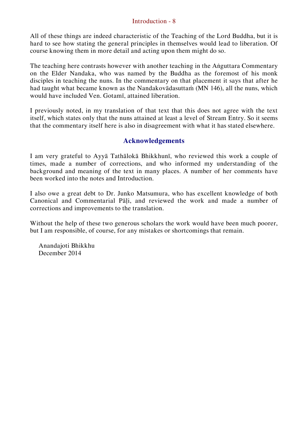All of these things are indeed characteristic of the Teaching of the Lord Buddha, but it is hard to see how stating the general principles in themselves would lead to liberation. Of course knowing them in more detail and acting upon them might do so.

The teaching here contrasts however with another teaching in the Aṅguttara Commentary on the Elder Nandaka, who was named by the Buddha as the foremost of his monk disciples in teaching the nuns. In the commentary on that placement it says that after he had taught what became known as the Nandakovādasuttaṁ (MN 146), all the nuns, which would have included Ven. Gotamī, attained liberation.

I previously noted, in my translation of that text that this does not agree with the text itself, which states only that the nuns attained at least a level of Stream Entry. So it seems that the commentary itself here is also in disagreement with what it has stated elsewhere.

## **Acknowledgements**

I am very grateful to Ayyā Tathālokā Bhikkhunī, who reviewed this work a couple of times, made a number of corrections, and who informed my understanding of the background and meaning of the text in many places. A number of her comments have been worked into the notes and Introduction.

I also owe a great debt to Dr. Junko Matsumura, who has excellent knowledge of both Canonical and Commentarial Pāḷi, and reviewed the work and made a number of corrections and improvements to the translation.

Without the help of these two generous scholars the work would have been much poorer, but I am responsible, of course, for any mistakes or shortcomings that remain.

Anandajoti Bhikkhu December 2014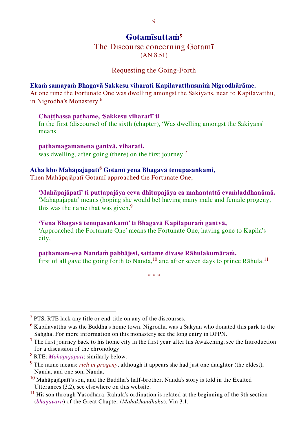## **Gotamīsuttaṁ<sup>5</sup>**

# The Discourse concerning Gotamī

<span id="page-9-1"></span><span id="page-9-0"></span>(AN 8.51)

## Requesting the Going-Forth

#### **Ekaṁ samayaṁ Bhagavā Sakkesu viharati Kapilavatthusmiṁ Nigrodhārāme.**

At one time the Fortunate One was dwelling amongst the Sakiyans, near to Kapilavatthu, in Nigrodha's Monastery.<sup>6</sup>

#### **Chaṭṭhassa paṭhame, 'Sakkesu viharatī' ti**

In the first (discourse) of the sixth (chapter), 'Was dwelling amongst the Sakiyans' means

**paṭhamagamanena gantvā, viharati.** was dwelling, after going (there) on the first journey.<sup>7</sup>

## **Atha kho Mahāpajāpatī<sup>8</sup> Gotamī yena Bhagavā tenupasaṅkami,**

Then Mahāpajāpatī Gotamī approached the Fortunate One,

## **'Mahāpajāpatī' ti puttapajāya ceva dhītupajāya ca mahantattā evaṁladdhanāmā.**

'Mahāpajāpatī' means (hoping she would be) having many male and female progeny, this was the name that was given.<sup>9</sup>

## **'Yena Bhagavā tenupasaṅkamī' ti Bhagavā Kapilapuraṁ gantvā,**

'Approached the Fortunate One' means the Fortunate One, having gone to Kapila's city,

## **paṭhamam-eva Nandaṁ pabbājesi, sattame divase Rāhulakumāraṁ.**

first of all gave the going forth to Nanda,<sup>10</sup> and after seven days to prince  $R\bar{a}$ hula.<sup>11</sup>

\* \* \*

 $<sup>5</sup>$  PTS, RTE lack any title or end-title on any of the discourses.</sup>

 $6$  Kapilavatthu was the Buddha's home town. Nigrodha was a Sakyan who donated this park to the Saṅgha. For more information on this monastery see the long entry in DPPN.

<sup>&</sup>lt;sup>7</sup> The first journey back to his home city in the first year after his Awakening, see the Introduction for a discussion of the chronology.

<sup>8</sup> RTE: *Mahāpajāpati*; similarly below.

<sup>9</sup> The name means: *rich in progeny*, although it appears she had just one daughter (the eldest), Nandā, and one son, Nanda.

 $10$  Mahāpajāpatī's son, and the Buddha's half-brother. Nanda's story is told in the Exalted Utterances (3.2), see elsewhere on this website.

 $11$  His son through Yasodharā. Rāhula's ordination is related at the beginning of the 9th section (*bhāṇavāra*) of the Great Chapter (*Mahākhandhaka*), Vin 3.1.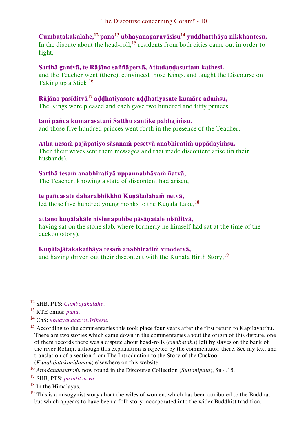## **Cumbaṭakakalahe,<sup>12</sup> pana<sup>13</sup> ubhayanagaravāsīsu<sup>14</sup> yuddhatthāya nikkhantesu,**

In the dispute about the head-roll,<sup>15</sup> residents from both cities came out in order to fight,

## **Satthā gantvā, te Rājāno saññāpetvā, Attadaṇḍasuttaṁ kathesi.**

and the Teacher went (there), convinced those Kings, and taught the Discourse on Taking up a Stick.<sup>16</sup>

## **Rājāno pasīditvā<sup>17</sup> aḍḍhatiyasate aḍḍhatiyasate kumāre adaṁsu,**

The Kings were pleased and each gave two hundred and fifty princes,

## **tāni pañca kumārasatāni Satthu santike pabbajiṁsu.**

and those five hundred princes went forth in the presence of the Teacher.

## **Atha nesaṁ pajāpatiyo sāsanaṁ pesetvā anabhiratiṁ uppādayiṁsu.**

Then their wives sent them messages and that made discontent arise (in their husbands).

## **Satthā tesaṁ anabhiratiyā uppannabhāvaṁ ñatvā,**

The Teacher, knowing a state of discontent had arisen,

## **te pañcasate daharabhikkhū Kuṇāladahaṁ netvā,**

led those five hundred young monks to the Kunāla Lake,<sup>18</sup>

## **attano kuṇālakāle nisinnapubbe pāsāṇatale nisīditvā,**

having sat on the stone slab, where formerly he himself had sat at the time of the cuckoo (story),

## **Kuṇālajātakakathāya tesaṁ anabhiratiṁ vinodetvā,**

and having driven out their discontent with the Kunāla Birth Story,<sup>19</sup>

 $\overline{a}$ 

<sup>17</sup> SHB, PTS: *pasīditvā va*.

<sup>18</sup> In the Himālayas.

 $19$  This is a misogynist story about the wiles of women, which has been attributed to the Buddha, but which appears to have been a folk story incorporated into the wider Buddhist tradition.

<sup>12</sup> SHB, PTS: *Cumbaṭakalahe*.

<sup>13</sup> RTE omits: *pana*.

<sup>14</sup> ChS: *ubhayanagaravāsikesu*.

<sup>&</sup>lt;sup>15</sup> According to the commentaries this took place four years after the first return to Kapilavatthu. There are two stories which came down in the commentaries about the origin of this dispute, one of them records there was a dispute about head-rolls (*cumbaṭaka*) left by slaves on the bank of the river Rohiṇī, although this explanation is rejected by the commentator there. See my text and translation of a section from The Introduction to the Story of the Cuckoo (*Kuṇālajātakanidānaṁ*) elsewhere on this website.

<sup>16</sup> *Attadaṇḍasuttaṁ*, now found in the Discourse Collection (*Suttanipāta*), Sn 4.15.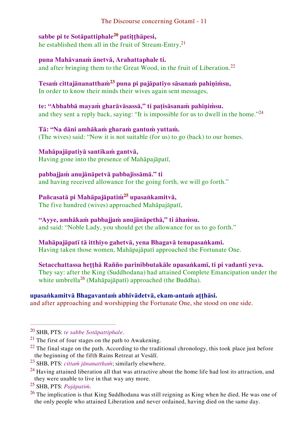## **sabbe pi te Sotāpattiphale<sup>20</sup> patiṭṭhāpesi,**

he established them all in the fruit of Stream-Entry, $2<sup>1</sup>$ 

## **puna Mahāvanaṁ ānetvā, Arahattaphale ti.**

and after bringing them to the Great Wood, in the fruit of Liberation.<sup>22</sup>

#### **Tesaṁ cittajānanatthaṁ<sup>23</sup> puna pi pajāpatiyo sāsanaṁ pahiṇiṁsu,**  In order to know their minds their wives again sent messages,

**te: "Abhabbā mayaṁ gharāvāsassā," ti paṭisāsanaṁ pahiṇiṁsu.**  and they sent a reply back, saying: "It is impossible for us to dwell in the home."<sup>24</sup>

## **Tā: "Na dāni amhākaṁ gharaṁ gantuṁ yuttaṁ.**  (The wives) said: "Now it is not suitable (for us) to go (back) to our homes.

### **Mahāpajāpatiyā santikaṁ gantvā,** Having gone into the presence of Mahāpajāpatī,

## **pabbajjaṁ anujānāpetvā pabbajissāmā." ti**  and having received allowance for the going forth, we will go forth."

## **Pañcasatā pi Mahāpajāpatiṁ<sup>25</sup> upasaṅkamitvā,**

The five hundred (wives) approached Mahāpajāpatī,

## **"Ayye, amhākaṁ pabbajjaṁ anujānāpethā," ti āhaṁsu.**

and said: "Noble Lady, you should get the allowance for us to go forth."

## **Mahāpajāpatī tā itthiyo gahetvā, yena Bhagavā tenupasaṅkami.**

Having taken those women, Mahāpajāpatī approached the Fortunate One.

**Setacchattassa heṭṭhā Rañño parinibbutakāle upasaṅkamī, ti pi vadanti yeva.** They say: after the King (Suddhodana) had attained Complete Emancipation under the white umbrella<sup>26</sup> (Mahāpajāpatī) approached (the Buddha).

## **upasaṅkamitvā Bhagavantaṁ abhivādetvā, ekam-antaṁ aṭṭhāsi.**

and after approaching and worshipping the Fortunate One, she stood on one side.

<sup>25</sup> SHB, PTS: *Pajāpatiṁ*.

<sup>20</sup> SHB, PTS: *te sabbe Sotāpattiphale*.

 $^{21}$  The first of four stages on the path to Awakening.

 $^{22}$  The final stage on the path. According to the traditional chronology, this took place just before the beginning of the fifth Rains Retreat at Vesālī.

<sup>23</sup> SHB, PTS: *cittaṁ jānanatthaṁ*; similarly elsewhere.

 $^{24}$  Having attained liberation all that was attractive about the home life had lost its attraction, and they were unable to live in that way any more.

<sup>&</sup>lt;sup>26</sup> The implication is that King Suddhodana was still reigning as King when he died. He was one of the only people who attained Liberation and never ordained, having died on the same day.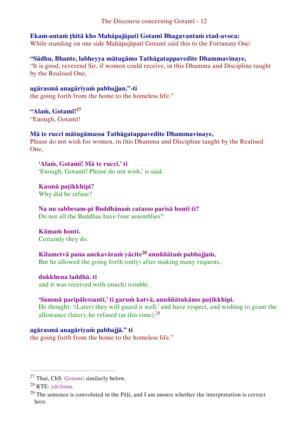#### **Ekam-antaṁ ṭhitā kho Mahāpajāpatī Gotamī Bhagavantaṁ etad-avoca:** While standing on one side Mahāpajāpatī Gotamī said this to the Fortunate One:

**"Sādhu, Bhante, labheyya mātugāmo Tathāgatappavedite Dhammavinaye,** "It is good, reverend Sir, if women could receive, in this Dhamma and Discipline taught by the Realised One,

**agārasmā anagāriyaṁ pabbajjan."-ti**  the going forth from the home to the homeless life."

## **"Alaṁ, Gotamī!<sup>27</sup>**

"Enough, Gotamī!

## **Mā te rucci mātugāmassa Tathāgatappavedite Dhammavinaye,**

Please do not wish for women, in this Dhamma and Discipline taught by the Realised One,

**'Alaṁ, Gotamī! Mā te ruccī.' ti** 'Enough, Gotamī! Please do not wish,' is said.

**Kasmā paṭikkhipi?**  Why did he refuse?

**Na nu sabbesam-pi Buddhānaṁ catasso parisā hontī ti?**  Do not all the Buddhas have four assemblies?

**Kāmaṁ honti.**  Certainly they do.

**Kilametvā pana anekavāraṁ yācite<sup>28</sup> anuññātaṁ pabbajjaṁ,**  But he allowed the going forth (only) after making many requests,

## **dukkhena laddhā. ti**

and it was received with (much) trouble.

## **'Sammā paripālessantī,' ti garuṁ katvā, anuññātukāmo paṭikkhipi.**

He thought: '(Later) they will guard it well,' and have respect, and wishing to grant the allowance (later), he refused (at this time).<sup>29</sup>

## **agārasmā anagāriyaṁ pabbajjā." ti**

the going forth from the home to the homeless life."

<sup>27</sup> Thai, ChS: *Gotami*; similarly below.

<sup>28</sup> RTE: *yācitena*.

 $29$  The sentence is convoluted in the Pāḷi, and I am unsure whether the interpretation is correct here.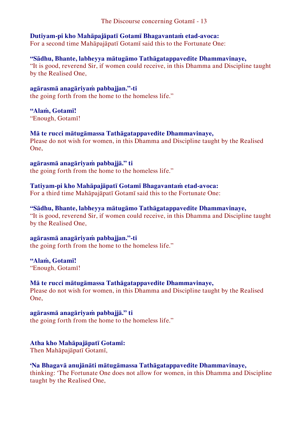## **Dutiyam-pi kho Mahāpajāpatī Gotamī Bhagavantaṁ etad-avoca:**

For a second time Mahāpajāpatī Gotamī said this to the Fortunate One:

#### **"Sādhu, Bhante, labheyya mātugāmo Tathāgatappavedite Dhammavinaye,** "It is good, reverend Sir, if women could receive, in this Dhamma and Discipline taught by the Realised One,

**agārasmā anagāriyaṁ pabbajjan."-ti**  the going forth from the home to the homeless life."

#### **"Alaṁ, Gotamī!**

"Enough, Gotamī!

#### **Mā te rucci mātugāmassa Tathāgatappavedite Dhammavinaye,**

Please do not wish for women, in this Dhamma and Discipline taught by the Realised One,

#### **agārasmā anagāriyaṁ pabbajjā." ti**

the going forth from the home to the homeless life."

## **Tatiyam-pi kho Mahāpajāpatī Gotamī Bhagavantaṁ etad-avoca:**

For a third time Mahāpajāpatī Gotamī said this to the Fortunate One:

## **"Sādhu, Bhante, labheyya mātugāmo Tathāgatappavedite Dhammavinaye,**

"It is good, reverend Sir, if women could receive, in this Dhamma and Discipline taught by the Realised One,

## **agārasmā anagāriyaṁ pabbajjan."-ti**

the going forth from the home to the homeless life."

## **"Alaṁ, Gotamī!**

"Enough, Gotamī!

## **Mā te rucci mātugāmassa Tathāgatappavedite Dhammavinaye,**

Please do not wish for women, in this Dhamma and Discipline taught by the Realised One,

#### **agārasmā anagāriyaṁ pabbajjā." ti**

the going forth from the home to the homeless life."

## **Atha kho Mahāpajāpatī Gotamī:**

Then Mahāpajāpatī Gotamī,

## **'Na Bhagavā anujānāti mātugāmassa Tathāgatappavedite Dhammavinaye,**

thinking: 'The Fortunate One does not allow for women, in this Dhamma and Discipline taught by the Realised One,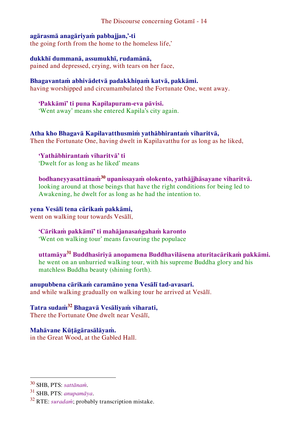### **agārasmā anagāriyaṁ pabbajjan,'-ti**

the going forth from the home to the homeless life,'

### **dukkhī dummanā, assumukhī, rudamānā,**

pained and depressed, crying, with tears on her face,

## **Bhagavantaṁ abhivādetvā padakkhiṇaṁ katvā, pakkāmi.**

having worshipped and circumambulated the Fortunate One, went away.

#### **'Pakkāmī' ti puna Kapilapuram-eva pāvisi.**

'Went away' means she entered Kapila's city again.

#### **Atha kho Bhagavā Kapilavatthusmiṁ yathābhirantaṁ viharitvā,**

Then the Fortunate One, having dwelt in Kapilavatthu for as long as he liked,

**'Yathābhirantaṁ viharitvā' ti**  'Dwelt for as long as he liked' means

#### **bodhaneyyasattānaṁ<sup>30</sup> upanissayaṁ olokento, yathājjhāsayane viharitvā.**  looking around at those beings that have the right conditions for being led to Awakening, he dwelt for as long as he had the intention to.

#### **yena Vesālī tena cārikaṁ pakkāmi,**

went on walking tour towards Vesālī,

#### **'Cārikaṁ pakkāmī' ti mahājanasaṅgahaṁ karonto**  'Went on walking tour' means favouring the populace

**uttamāya<sup>31</sup> Buddhasiriyā anopamena Buddhavilāsena aturitacārikaṁ pakkāmi.** he went on an unhurried walking tour, with his supreme Buddha glory and his matchless Buddha beauty (shining forth).

## **anupubbena cārikaṁ caramāno yena Vesālī tad-avasari.**

and while walking gradually on walking tour he arrived at Vesālī.

## **Tatra sudaṁ<sup>32</sup> Bhagavā Vesāliyaṁ viharati,**

There the Fortunate One dwelt near Vesālī,

## **Mahāvane Kūṭāgārasālāyaṁ.**

in the Great Wood, at the Gabled Hall.

<sup>30</sup> SHB, PTS: *sattānaṁ*.

<sup>31</sup> SHB, PTS: *anupamāya*.

<sup>32</sup> RTE: *suradaṁ*; probably transcription mistake.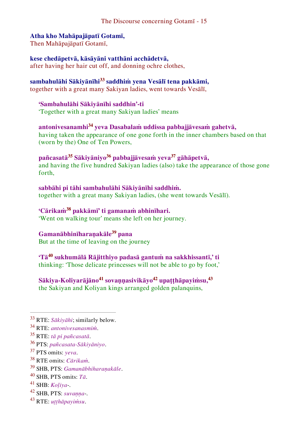## **Atha kho Mahāpajāpatī Gotamī,**

Then Mahāpajāpatī Gotamī,

## **kese chedāpetvā, kāsāyāni vatthāni acchādetvā,**

after having her hair cut off, and donning ochre clothes,

## **sambahulāhi Sākiyānīhi<sup>33</sup> saddhiṁ yena Vesālī tena pakkāmi,**

together with a great many Sakiyan ladies, went towards Vesālī,

## **'Sambahulāhi Sākiyānīhi saddhin'-ti**

'Together with a great many Sakiyan ladies' means

## **antonivesanamhi<sup>34</sup> yeva Dasabalaṁ uddissa pabbajjāvesaṁ gahetvā,**  having taken the appearance of one gone forth in the inner chambers based on that (worn by the) One of Ten Powers,

## **pañcasatā<sup>35</sup> Sākiyāniyo<sup>36</sup> pabbajjāvesaṁ yeva<sup>37</sup> gāhāpetvā,**

and having the five hundred Sakiyan ladies (also) take the appearance of those gone forth,

#### **sabbāhi pi tāhi sambahulāhi Sākiyānīhi saddhiṁ.** together with a great many Sakiyan ladies, (she went towards Vesālī).

## **'Cārikaṁ<sup>38</sup> pakkāmī' ti gamanaṁ abhinīhari.**

'Went on walking tour' means she left on her journey.

## **Gamanābhinīharaṇakāle<sup>39</sup> pana**

But at the time of leaving on the journey

## **'Tā<sup>40</sup> sukhumālā Rājitthiyo padasā gantuṁ na sakkhissantī,' ti**  thinking: 'Those delicate princesses will not be able to go by foot,'

## **Sākiya-Koliyarājāno<sup>41</sup> sovaṇṇasivikāyo<sup>42</sup> upaṭṭhāpayiṁsu,<sup>43</sup>** the Sakiyan and Koliyan kings arranged golden palanquins,

- <sup>39</sup> SHB, PTS: *Gamanābhiharaṇakāle*.
- <sup>40</sup> SHB, PTS omits: *Tā*.
- <sup>41</sup> SHB: *Koḷiya*-.
- <sup>42</sup> SHB, PTS: *suvaṇṇa*-.
- <sup>43</sup> RTE: *uṭṭhāpayiṁsu*.

<sup>33</sup> RTE: *Sākiyāhi*; similarly below.

<sup>34</sup> RTE: *antonivesanasmiṁ*.

<sup>35</sup> RTE: *tā pi pañcasatā*.

<sup>36</sup> PTS: *pañcasata-Sākiyāniyo*.

<sup>37</sup> PTS omits: *yeva*.

<sup>38</sup> RTE omits: *Cārikaṁ*.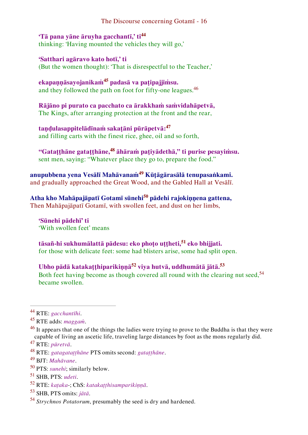## **'Tā pana yāne āruyha gacchantī,' ti<sup>44</sup>** thinking: 'Having mounted the vehicles they will go,'

**'Satthari agāravo kato hotī,' ti**  (But the women thought): 'That is disrespectful to the Teacher,'

**ekapaṇṇāsayojanikaṁ<sup>45</sup> padasā va paṭipajjiṁsu.**  and they followed the path on foot for fifty-one leagues.<sup>46</sup>

**Rājāno pi purato ca pacchato ca ārakkhaṁ saṁvidahāpetvā,**  The Kings, after arranging protection at the front and the rear,

**taṇḍulasappitelādīnaṁ sakaṭāni pūrāpetvā:<sup>47</sup>** and filling carts with the finest rice, ghee, oil and so forth,

**"Gataṭṭhāne gataṭṭhāne,<sup>48</sup> āhāraṁ paṭiyādethā," ti purise pesayiṁsu.** sent men, saying: "Whatever place they go to, prepare the food."

**anupubbena yena Vesālī Mahāvanaṁ<sup>49</sup> Kūṭāgārasālā tenupasaṅkami.** and gradually approached the Great Wood, and the Gabled Hall at Vesālī.

**Atha kho Mahāpajāpatī Gotamī sūnehi<sup>50</sup> pādehi rajokiṇṇena gattena,**  Then Mahāpajāpatī Gotamī, with swollen feet, and dust on her limbs,

**'Sūnehi pādehī' ti**  'With swollen feet' means

**tāsañ-hi sukhumālattā pādesu: eko phoṭo uṭṭheti,<sup>51</sup> eko bhijjati.**  for those with delicate feet: some had blisters arise, some had split open.

**Ubho pādā katakaṭṭhiparikiṇṇā<sup>52</sup> viya hutvā, uddhumātā jātā.<sup>53</sup>** Both feet having become as though covered all round with the clearing nut seed,<sup>54</sup> became swollen.

<sup>44</sup> RTE: *gacchantīhi*.

<sup>45</sup> RTE adds: *maggaṁ*.

<sup>&</sup>lt;sup>46</sup> It appears that one of the things the ladies were trying to prove to the Buddha is that they were capable of living an ascetic life, traveling large distances by foot as the mons regularly did.

<sup>47</sup> RTE: *pūretvā*.

<sup>48</sup> RTE: *gatagataṭṭhāne* PTS omits second: *gataṭṭhāne*.

<sup>49</sup> BJT: *Mahāvane*.

<sup>50</sup> PTS: *sunehi*; similarly below.

<sup>51</sup> SHB, PTS: *udeti*.

<sup>52</sup> RTE: *kaṭaka*-; ChS: *katakaṭṭhisamparikiṇṇā*.

<sup>53</sup> SHB, PTS omits: *jātā*.

<sup>54</sup> *Strychnos Potatorum*, presumably the seed is dry and hardened.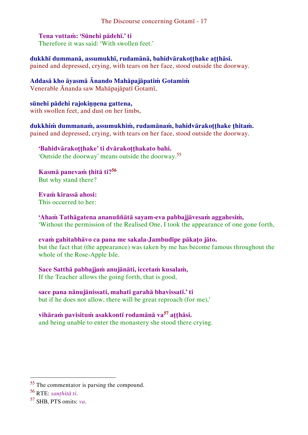### **Tena vuttaṁ: 'Sūnehi pādehī.' ti**

Therefore it was said: 'With swollen feet.'

**dukkhī dummanā, assumukhī, rudamānā, bahidvārakoṭṭhake aṭṭhāsi.** pained and depressed, crying, with tears on her face, stood outside the doorway.

**Addasā kho āyasmā Ānando Mahāpajāpatiṁ Gotamiṁ** Venerable Ānanda saw Mahāpajāpatī Gotamī,

**sūnehi pādehi rajokiṇṇena gattena,** with swollen feet, and dust on her limbs,

**dukkhiṁ dummanaṁ, assumukhiṁ, rudamānaṁ, bahidvārakoṭṭhake ṭhitaṁ.**  pained and depressed, crying, with tears on her face, stood outside the doorway.

**'Bahidvārakoṭṭhake' ti dvārakoṭṭhakato bahi.**  'Outside the doorway' means outside the doorway.<sup>55</sup>

**Kasmā panevaṁ ṭhitā ti?<sup>56</sup>** But why stand there?

**Evaṁ kirassā ahosi:**  This occurred to her:

**'Ahaṁ Tathāgatena ananuññātā sayam-eva pabbajjāvesaṁ aggahesiṁ,**  'Without the permission of the Realised One, I took the appearance of one gone forth,

**evaṁ gahitabhāvo ca pana me sakala-Jambudīpe pākaṭo jāto.**  but the fact that (the appearance) was taken by me has become famous throughout the whole of the Rose-Apple Isle.

**Sace Satthā pabbajjaṁ anujānāti, iccetaṁ kusalaṁ,** If the Teacher allows the going forth, that is good,

**sace pana nānujānissati, mahatī garahā bhavissatī.' ti**  but if he does not allow, there will be great reproach (for me),'

**vihāraṁ pavisituṁ asakkontī rodamānā va<sup>57</sup> aṭṭhāsi.** and being unable to enter the monastery she stood there crying.

<sup>55</sup> The commentator is parsing the compound.

<sup>56</sup> RTE: *sanṭhitā ti*.

<sup>57</sup> SHB, PTS omits: *va*.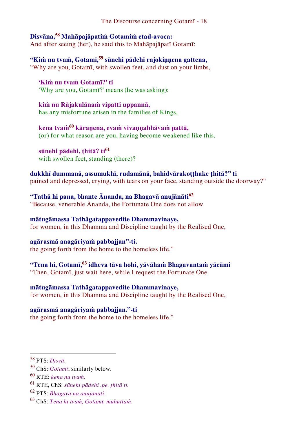## **Disvāna,<sup>58</sup> Mahāpajāpatiṁ Gotamiṁ etad-avoca:**

And after seeing (her), he said this to Mahāpajāpatī Gotamī:

**"Kiṁ nu tvaṁ, Gotamī,<sup>59</sup> sūnehi pādehi rajokiṇṇena gattena,** "Why are you, Gotamī, with swollen feet, and dust on your limbs,

**'Kiṁ nu tvaṁ Gotamī?' ti**  'Why are you, Gotamī?' means (he was asking):

**kiṁ nu Rājakulānaṁ vipatti uppannā,**  has any misfortune arisen in the families of Kings,

**kena tvaṁ<sup>60</sup> kāraṇena, evaṁ vivaṇṇabhāvaṁ pattā,**  (or) for what reason are you, having become weakened like this,

**sūnehi pādehi, ṭhitā? ti<sup>61</sup>** with swollen feet, standing (there)?

**dukkhī dummanā, assumukhī, rudamānā, bahidvārakoṭṭhake ṭhitā?" ti**  pained and depressed, crying, with tears on your face, standing outside the doorway?"

**"Tathā hi pana, bhante Ānanda, na Bhagavā anujānāti<sup>62</sup>** "Because, venerable Ānanda, the Fortunate One does not allow

**mātugāmassa Tathāgatappavedite Dhammavinaye,**  for women, in this Dhamma and Discipline taught by the Realised One,

**agārasmā anagāriyaṁ pabbajjan"-ti.**  the going forth from the home to the homeless life."

**"Tena hi, Gotamī,<sup>63</sup> idheva tāva hohi, yāvāhaṁ Bhagavantaṁ yācāmi** "Then, Gotamī, just wait here, while I request the Fortunate One

**mātugāmassa Tathāgatappavedite Dhammavinaye,** for women, in this Dhamma and Discipline taught by the Realised One,

**agārasmā anagāriyaṁ pabbajjan."-ti**

the going forth from the home to the homeless life."

<sup>58</sup> PTS: *Disvā*.

<sup>59</sup> ChS: *Gotami*; similarly below.

<sup>60</sup> RTE: *kena nu tvaṁ*.

<sup>61</sup> RTE, ChS: *sūnehi pādehi .pe. ṭhitā ti.*

<sup>62</sup> PTS: *Bhagavā na anujānāti*.

<sup>63</sup> ChS: *Tena hi tvaṁ, Gotamī, muhuttaṁ*.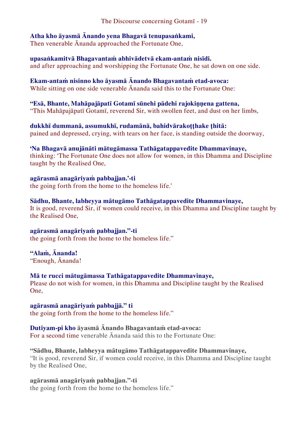## **Atha kho āyasmā Ānando yena Bhagavā tenupasaṅkami,**

Then venerable Ānanda approached the Fortunate One,

**upasaṅkamitvā Bhagavantaṁ abhivādetvā ekam-antaṁ nisīdi.**  and after approaching and worshipping the Fortunate One, he sat down on one side.

**Ekam-antaṁ nisinno kho āyasmā Ānando Bhagavantaṁ etad-avoca:** While sitting on one side venerable Ānanda said this to the Fortunate One:

**"Esā, Bhante, Mahāpajāpatī Gotamī sūnehi pādehi rajokiṇṇena gattena,**  "This Mahāpajāpatī Gotamī, reverend Sir, with swollen feet, and dust on her limbs,

**dukkhī dummanā, assumukhī, rudamānā, bahidvārakoṭṭhake ṭhitā:** pained and depressed, crying, with tears on her face, is standing outside the doorway,

## **'Na Bhagavā anujānāti mātugāmassa Tathāgatappavedite Dhammavinaye,**

thinking: 'The Fortunate One does not allow for women, in this Dhamma and Discipline taught by the Realised One,

**agārasmā anagāriyaṁ pabbajjan.'-ti**  the going forth from the home to the homeless life.'

**Sādhu, Bhante, labheyya mātugāmo Tathāgatappavedite Dhammavinaye,**  It is good, reverend Sir, if women could receive, in this Dhamma and Discipline taught by the Realised One,

**agārasmā anagāriyaṁ pabbajjan."-ti**  the going forth from the home to the homeless life."

## **"Alaṁ, Ānanda!**

"Enough, Ānanda!

## **Mā te rucci mātugāmassa Tathāgatappavedite Dhammavinaye,**

Please do not wish for women, in this Dhamma and Discipline taught by the Realised One,

## **agārasmā anagāriyaṁ pabbajjā." ti**

the going forth from the home to the homeless life."

## **Dutiyam-pi kho āyasmā Ānando Bhagavantaṁ etad-avoca:**

For a second time venerable Ānanda said this to the Fortunate One:

## **"Sādhu, Bhante, labheyya mātugāmo Tathāgatappavedite Dhammavinaye,**

"It is good, reverend Sir, if women could receive, in this Dhamma and Discipline taught by the Realised One,

**agārasmā anagāriyaṁ pabbajjan."-ti** 

the going forth from the home to the homeless life."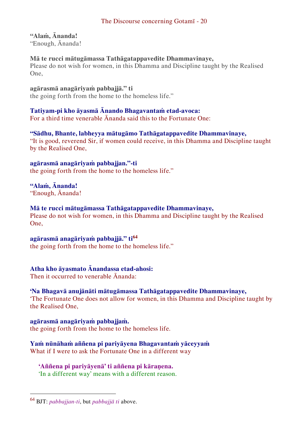## **"Alaṁ, Ānanda!**

"Enough, Ānanda!

## **Mā te rucci mātugāmassa Tathāgatappavedite Dhammavinaye,**

Please do not wish for women, in this Dhamma and Discipline taught by the Realised One,

**agārasmā anagāriyaṁ pabbajjā." ti**

the going forth from the home to the homeless life."

## **Tatiyam-pi kho āyasmā Ānando Bhagavantaṁ etad-avoca:**

For a third time venerable Ānanda said this to the Fortunate One:

## **"Sādhu, Bhante, labheyya mātugāmo Tathāgatappavedite Dhammavinaye,**

"It is good, reverend Sir, if women could receive, in this Dhamma and Discipline taught by the Realised One,

**agārasmā anagāriyaṁ pabbajjan."-ti**  the going forth from the home to the homeless life."

## **"Alaṁ, Ānanda!**

"Enough, Ānanda!

## **Mā te rucci mātugāmassa Tathāgatappavedite Dhammavinaye,**

Please do not wish for women, in this Dhamma and Discipline taught by the Realised One,

## **agārasmā anagāriyaṁ pabbajjā." ti<sup>64</sup>**

the going forth from the home to the homeless life."

## **Atha kho āyasmato Ānandassa etad-ahosi:**

Then it occurred to venerable Ānanda:

## **'Na Bhagavā anujānāti mātugāmassa Tathāgatappavedite Dhammavinaye,**

'The Fortunate One does not allow for women, in this Dhamma and Discipline taught by the Realised One,

**agārasmā anagāriyaṁ pabbajjaṁ.**  the going forth from the home to the homeless life.

## **Yaṁ nūnāhaṁ aññena pi pariyāyena Bhagavantaṁ yāceyyaṁ**

What if I were to ask the Fortunate One in a different way

## **'Aññena pi pariyāyenā' ti aññena pi kāraṇena.**

'In a different way' means with a different reason.

<sup>64</sup> BJT: *pabbajjan-ti*, but *pabbajjā ti* above.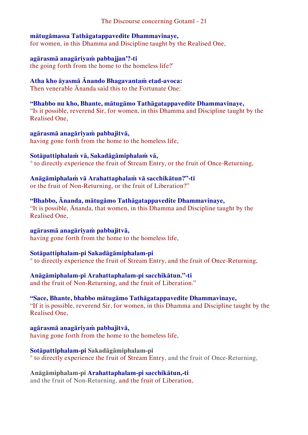## **mātugāmassa Tathāgatappavedite Dhammavinaye,**

for women, in this Dhamma and Discipline taught by the Realised One,

### **agārasmā anagāriyaṁ pabbajjan'?-ti**

the going forth from the home to the homeless life?'

## **Atha kho āyasmā Ānando Bhagavantaṁ etad-avoca:**

Then venerable Ānanda said this to the Fortunate One:

## **"Bhabbo nu kho, Bhante, mātugāmo Tathāgatappavedite Dhammavinaye,**

"Is it possible, reverend Sir, for women, in this Dhamma and Discipline taught by the Realised One,

## **agārasmā anagāriyaṁ pabbajitvā,**

having gone forth from the home to the homeless life,

## **Sotāpattiphalaṁ vā, Sakadāgāmiphalaṁ vā,**

° to directly experience the fruit of Stream Entry, or the fruit of Once-Returning,

## **Anāgāmiphalaṁ vā Arahattaphalaṁ vā sacchikātun?"-ti**

or the fruit of Non-Returning, or the fruit of Liberation?"

## **"Bhabbo, Ānanda, mātugāmo Tathāgatappavedite Dhammavinaye,**

"It is possible, Ānanda, that women, in this Dhamma and Discipline taught by the Realised One,

## **agārasmā anagāriyaṁ pabbajitvā,**

having gone forth from the home to the homeless life,

## **Sotāpattiphalam-pi Sakadāgāmiphalam-pi**

° to directly experience the fruit of Stream Entry, and the fruit of Once-Returning,

## **Anāgāmiphalam-pi Arahattaphalam-pi sacchikātun."-ti**

and the fruit of Non-Returning, and the fruit of Liberation."

## **"Sace, Bhante, bhabbo mātugāmo Tathāgatappavedite Dhammavinaye,**

"If it is possible, reverend Sir, for women, in this Dhamma and Discipline taught by the Realised One,

#### **agārasmā anagāriyaṁ pabbajitvā,**  having gone forth from the home to the homeless life,

**Sotāpattiphalam-pi Sakadāgāmiphalam-pi**

## ° to directly experience the fruit of Stream Entry, and the fruit of Once-Returning,

## **Anāgāmiphalam-pi Arahattaphalam-pi sacchikātun,-ti**

and the fruit of Non-Returning, and the fruit of Liberation,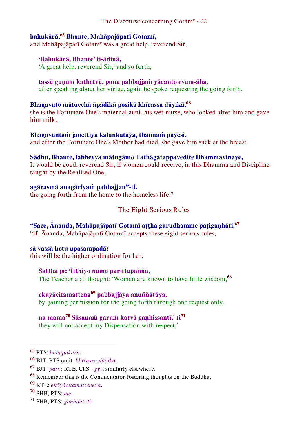## **bahukārā,<sup>65</sup> Bhante, Mahāpajāpatī Gotamī,**

and Mahāpajāpatī Gotamī was a great help, reverend Sir,

#### **'Bahukārā, Bhante' ti-ādinā,**

'A great help, reverend Sir,' and so forth,

#### **tassā guṇaṁ kathetvā, puna pabbajjaṁ yācanto evam-āha.**

after speaking about her virtue, again he spoke requesting the going forth.

## **Bhagavato mātucchā āpādikā posikā khīrassa dāyikā,<sup>66</sup>**

she is the Fortunate One's maternal aunt, his wet-nurse, who looked after him and gave him milk,

## **Bhagavantaṁ janettiyā kālaṅkatāya, thaññaṁ pāyesi.**

and after the Fortunate One's Mother had died, she gave him suck at the breast.

#### **Sādhu, Bhante, labheyya mātugāmo Tathāgatappavedite Dhammavinaye,**

It would be good, reverend Sir, if women could receive, in this Dhamma and Discipline taught by the Realised One,

#### **agārasmā anagāriyaṁ pabbajjan"-ti.**

the going forth from the home to the homeless life."

## <span id="page-22-0"></span>The Eight Serious Rules

## **"Sace, Ānanda, Mahāpajāpatī Gotamī aṭṭha garudhamme paṭigaṇhāti,<sup>67</sup>**

"If, Ānanda, Mahāpajāpatī Gotamī accepts these eight serious rules,

#### **sā vassā hotu upasampadā:**

this will be the higher ordination for her:

#### **Satthā pi: 'Itthiyo nāma parittapaññā,**

The Teacher also thought: 'Women are known to have little wisdom, <sup>68</sup>

## **ekayācitamattena<sup>69</sup> pabbajjāya anuññātāya,**

by gaining permission for the going forth through one request only,

## **na mama<sup>70</sup> Sāsanaṁ garuṁ katvā gaṇhissantī,' ti<sup>71</sup>**

they will not accept my Dispensation with respect,'

<sup>65</sup> PTS: *bahupakārā*.

<sup>66</sup> BJT, PTS omit: *khīrassa dāyikā*.

<sup>67</sup> BJT: *pati*-; RTE, ChS: -*gg*-; similarly elsewhere.

<sup>&</sup>lt;sup>68</sup> Remember this is the Commentator fostering thoughts on the Buddha.

<sup>69</sup> RTE: *ekāyācitamatteneva*.

<sup>70</sup> SHB, PTS: *me*.

<sup>71</sup> SHB, PTS: *gaṇhantī ti*.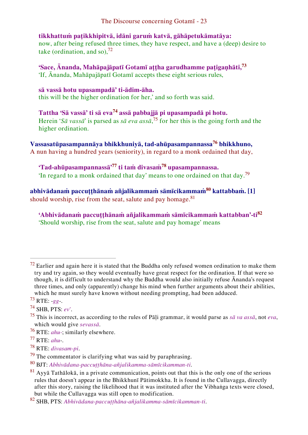**tikkhattuṁ paṭikkhipitvā, idāni garuṁ katvā, gāhāpetukāmatāya:**  now, after being refused three times, they have respect, and have a (deep) desire to take (ordination, and so),  $72$ 

**'Sace, Ānanda, Mahāpajāpatī Gotamī aṭṭha garudhamme paṭigaṇhāti,<sup>73</sup>** 'If, Ānanda, Mahāpajāpatī Gotamī accepts these eight serious rules,

**sā vassā hotu upasampadā' ti-ādim-āha.**  this will be the higher ordination for her,' and so forth was said.

**Tattha 'Sā vassā' ti sā eva<sup>74</sup> assā pabbajjā pi upasampadā pi hotu.** Herein '*Sā vassā*' is parsed as *sā eva assā*, <sup>75</sup> for her this is the going forth and the higher ordination.

**Vassasatūpasampannāya bhikkhuniyā, tad-ahūpasampannassa<sup>76</sup> bhikkhuno,** A nun having a hundred years (seniority), in regard to a monk ordained that day,

**'Tad-ahūpasampannassā'<sup>77</sup> ti taṁ divasaṁ<sup>78</sup> upasampannassa.**  'In regard to a monk ordained that day' means to one ordained on that day.<sup>79</sup>

**abhivādanaṁ paccuṭṭhānaṁ añjalikammaṁ sāmīcikammaṁ<sup>80</sup> kattabbaṁ. [1]** should worship, rise from the seat, salute and pay homage. $81$ 

**'Abhivādanaṁ paccuṭṭhānaṁ añjalikammaṁ sāmīcikammaṁ kattabban'-ti<sup>82</sup>** 'Should worship, rise from the seat, salute and pay homage' means

 $72$  Earlier and again here it is stated that the Buddha only refused women ordination to make them try and try again, so they would eventually have great respect for the ordination. If that were so though, it is difficult to understand why the Buddha would also initially refuse Ānanda's request three times, and only (apparently) change his mind when further arguments about their abilities, which he must surely have known without needing prompting, had been adduced.

<sup>73</sup> RTE: -*gg*-.

<sup>74</sup> SHB, PTS: *ev'*.

<sup>75</sup> This is incorrect, as according to the rules of Pāḷi grammar, it would parse as *sā va assā*, not *eva*, which would give *sevassā*.

<sup>76</sup> RTE: *ahu-*; similarly elsewhere.

<sup>77</sup> RTE: *ahu*-.

<sup>78</sup> RTE: *divasam-pi*.

 $79$  The commentator is clarifying what was said by paraphrasing.

<sup>80</sup> BJT: *Abhivādana-paccuṭṭhāna-añjalikamma-sāmīcikamman-ti*.

 $81$  Ayy $\overline{a}$  Tath $\overline{a}$ lok $\overline{a}$ , in a private communication, points out that this is the only one of the serious rules that doesn't appear in the Bhikkhunī Pātimokkha. It is found in the Cullavagga, directly after this story, raising the likelihood that it was instituted after the Vibhaṅga texts were closed, but while the Cullavagga was still open to modification.

<sup>82</sup> SHB, PTS: *Abhivādana-paccuṭṭhāna-añjalikamma-sāmīcikamman-ti*.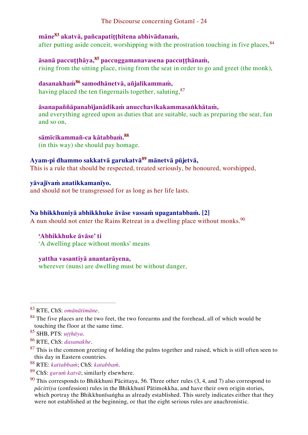## **māne<sup>83</sup> akatvā, pañcapatiṭṭhitena abhivādanaṁ,**

after putting aside conceit, worshipping with the prostration touching in five places,  $84$ 

## **āsanā paccuṭṭhāya,<sup>85</sup> paccuggamanavasena paccuṭṭhānaṁ,**

rising from the sitting place, rising from the seat in order to go and greet (the monk),

## **dasanakhaṁ<sup>86</sup> samodhānetvā, añjalikammaṁ,**

having placed the ten fingernails together, saluting, <sup>87</sup>

## **āsanapaññāpanabījanādikaṁ anucchavikakammasaṅkhātaṁ,**

and everything agreed upon as duties that are suitable, such as preparing the seat, fan and so on,

**sāmīcikammañ-ca kātabbaṁ.<sup>88</sup>** (in this way) she should pay homage.

## **Ayam-pi dhammo sakkatvā garukatvā<sup>89</sup> mānetvā pūjetvā,**

This is a rule that should be respected, treated seriously, be honoured, worshipped,

### **yāvajīvaṁ anatikkamanīyo.**

and should not be transgressed for as long as her life lasts.

#### **Na bhikkhuniyā abhikkhuke āvāse vassaṁ upagantabbaṁ. [2]**

A nun should not enter the Rains Retreat in a dwelling place without monks.<sup>90</sup>

### **'Abhikkhuke āvāse' ti**

'A dwelling place without monks' means

#### **yattha vasantiyā anantarāyena,**

wherever (nuns) are dwelling must be without danger.

<sup>83</sup> RTE, ChS: *omānātimāne*.

 $84$  The five places are the two feet, the two forearms and the forehead, all of which would be touching the floor at the same time.

<sup>85</sup> SHB, PTS: *uṭṭhāya*.

<sup>86</sup> RTE, ChS: *dasanakhe*.

 $87$  This is the common greeting of holding the palms together and raised, which is still often seen to this day in Eastern countries.

<sup>88</sup> RTE: *kattabbaṁ*; ChS: *katabbaṁ*.

<sup>89</sup> ChS: *garuṁ katvā*; similarly elsewhere.

 $90$  This corresponds to Bhikkhuni Pācittaya, 56. Three other rules (3, 4, and 7) also correspond to *pācittiya* (confession) rules in the Bhikkhunī Pātimokkha, and have their own origin stories, which portray the Bhikkhunīsaṅgha as already established. This surely indicates either that they were not established at the beginning, or that the eight serious rules are anachronistic.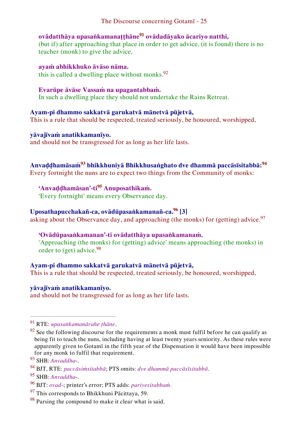## **ovādatthāya upasaṅkamanaṭṭhāne<sup>91</sup> ovādadāyako ācariyo natthi,**

(but if) after approaching that place in order to get advice, (it is found) there is no teacher (monk) to give the advice,

**ayaṁ abhikkhuko āvāso nāma.**  this is called a dwelling place without monks. $92$ 

### **Evarūpe āvāse Vassaṁ na upagantabbaṁ.**

In such a dwelling place they should not undertake the Rains Retreat.

## **Ayam-pi dhammo sakkatvā garukatvā mānetvā pūjetvā,**

This is a rule that should be respected, treated seriously, be honoured, worshipped,

## **yāvajīvaṁ anatikkamanīyo.**

and should not be transgressed for as long as her life lasts.

## **Anvaḍḍhamāsaṁ<sup>93</sup> bhikkhuniyā Bhikkhusaṅghato dve dhammā paccāsīsitabbā:<sup>94</sup>**

Every fortnight the nuns are to expect two things from the Community of monks:

## **'Anvaḍḍhamāsan'-ti<sup>95</sup> Anuposathikaṁ.**

'Every fortnight' means every Observance day.

## **Uposathapucchakañ-ca, ovādūpasaṅkamanañ-ca.<sup>96</sup> [3]**

asking about the Observance day, and approaching (the monks) for (getting) advice.<sup>97</sup>

## **'Ovādūpasaṅkamanan'-ti ovādatthāya upasaṅkamanaṁ.**

'Approaching (the monks) for (getting) advice' means approaching (the monks) in order to (get) advice.<sup>98</sup>

## **Ayam-pi dhammo sakkatvā garukatvā mānetvā pūjetvā,**

This is a rule that should be respected, treated seriously, be honoured, worshipped,

## **yāvajīvaṁ anatikkamanīyo.**

and should not be transgressed for as long as her life lasts.

 $\overline{a}$ 

<sup>95</sup> SHB: *Anvaddha*-.

<sup>97</sup> This corresponds to Bhikkhuni Pācittaya, 59.

<sup>91</sup> RTE: *upasaṅkamanārahe ṭhāne*.

 $92$  See the following discourse for the requirements a monk must fulfil before he can qualify as being fit to teach the nuns, including having at least twenty years seniority. As these rules were apparently given to Gotamī in the fifth year of the Dispensation it would have been impossible for any monk to fulfil that requirement.

<sup>93</sup> SHB: *Anvaddha*-.

<sup>94</sup> BJT, RTE: *paccāsiṁsitabbā*; PTS omits: *dve dhammā paccāsīsitabbā*.

<sup>96</sup> BJT: *ovad*-; printer's error; PTS adds: *pariyesitabbaṁ*.

 $98$  Parsing the compound to make it clear what is said.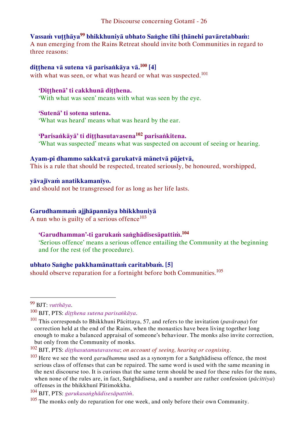## **Vassaṁ vuṭṭhāya<sup>99</sup> bhikkhuniyā ubhato Saṅghe tīhi ṭhānehi pavāretabbaṁ:**

A nun emerging from the Rains Retreat should invite both Communities in regard to three reasons:

## **diṭṭhena vā sutena vā parisaṅkāya vā.<sup>100</sup> [4]**

with what was seen, or what was heard or what was suspected.<sup>101</sup>

#### **'Diṭṭhenā' ti cakkhunā diṭṭhena.**

'With what was seen' means with what was seen by the eye.

#### **'Sutenā' ti sotena sutena.**

'What was heard' means what was heard by the ear.

## **'Parisaṅkāyā' ti diṭṭhasutavasena<sup>102</sup> parisaṅkitena.**

'What was suspected' means what was suspected on account of seeing or hearing.

#### **Ayam-pi dhammo sakkatvā garukatvā mānetvā pūjetvā,**

This is a rule that should be respected, treated seriously, be honoured, worshipped,

#### **yāvajīvaṁ anatikkamanīyo.**

and should not be transgressed for as long as her life lasts.

#### **Garudhammaṁ ajjhāpannāya bhikkhuniyā**

A nun who is guilty of a serious offence<sup>103</sup>

## **'Garudhamman'-ti garukaṁ saṅghādisesāpattiṁ.<sup>104</sup>**

'Serious offence' means a serious offence entailing the Community at the beginning and for the rest (of the procedure).

## **ubhato Saṅghe pakkhamānattaṁ caritabbaṁ. [5]**

should observe reparation for a fortnight before both Communities.<sup>105</sup>

<sup>99</sup> BJT: *vutthāya*.

<sup>100</sup> BJT, PTS: *diṭṭhena sutena parisaṅkāya*.

<sup>101</sup> This corresponds to Bhikkhuni Pācittaya, 57, and refers to the invitation (*pavāraṇa*) for correction held at the end of the Rains, when the monastics have been living together long enough to make a balanced appraisal of someone's behaviour. The monks also invite correction, but only from the Community of monks.

<sup>102</sup> BJT, PTS: *diṭṭhasutamutavasena*; *on account of seeing, hearing or cognising*.

<sup>103</sup> Here we see the word *garudhamma* used as a synonym for a Saṅghādisesa offence, the most serious class of offenses that can be repaired. The same word is used with the same meaning in the next discourse too. It is curious that the same term should be used for these rules for the nuns, when none of the rules are, in fact, Saṅghādisesa, and a number are rather confession (*pācittiya*) offenses in the bhikkhunī Pātimokkha.

<sup>104</sup> BJT, PTS: *garukasaṅghādisesāpattiṁ*.

 $105$  The monks only do reparation for one week, and only before their own Community.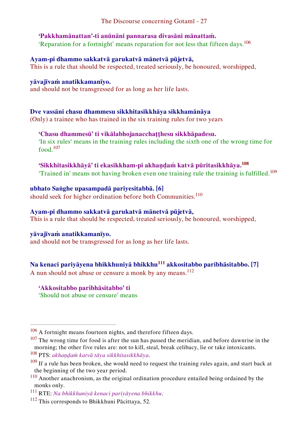## **'Pakkhamānattan'-ti anūnāni pannarasa divasāni mānattaṁ.**

'Reparation for a fortnight' means reparation for not less that fifteen days.<sup>106</sup>

#### **Ayam-pi dhammo sakkatvā garukatvā mānetvā pūjetvā,**

This is a rule that should be respected, treated seriously, be honoured, worshipped,

#### **yāvajīvaṁ anatikkamanīyo.**

and should not be transgressed for as long as her life lasts.

## **Dve vassāni chasu dhammesu sikkhitasikkhāya sikkhamānāya**

(Only) a trainee who has trained in the six training rules for two years

## **'Chasu dhammesū' ti vikālabhojanacchaṭṭhesu sikkhāpadesu.**

'In six rules' means in the training rules including the sixth one of the wrong time for food  $107$ 

## **'Sikkhitasikkhāyā' ti ekasikkham-pi akhaṇḍaṁ katvā pūritasikkhāya.<sup>108</sup>**

'Trained in' means not having broken even one training rule the training is fulfilled.<sup>109</sup>

#### **ubhato Saṅghe upasampadā pariyesitabbā. [6]**

should seek for higher ordination before both Communities.<sup>110</sup>

#### **Ayam-pi dhammo sakkatvā garukatvā mānetvā pūjetvā,**

This is a rule that should be respected, treated seriously, be honoured, worshipped,

#### **yāvajīvaṁ anatikkamanīyo.**

 $\overline{a}$ 

and should not be transgressed for as long as her life lasts.

## **Na kenaci pariyāyena bhikkhuniyā bhikkhu<sup>111</sup> akkositabbo paribhāsitabbo. [7]**

A nun should not abuse or censure a monk by any means.<sup>112</sup>

**'Akkositabbo paribhāsitabbo' ti** 

'Should not abuse or censure' means

<sup>&</sup>lt;sup>106</sup> A fortnight means fourteen nights, and therefore fifteen days.

 $107$  The wrong time for food is after the sun has passed the meridian, and before dawnrise in the morning; the other five rules are: not to kill, steal, break celibacy, lie or take intoxicants.

<sup>108</sup> PTS: *akhaṇḍaṁ katvā tāya sikkhitasikkhāya*.

 $109$  If a rule has been broken, she would need to request the training rules again, and start back at the beginning of the two year period.

 $110$  Another anachronism, as the original ordination procedure entailed being ordained by the monks only.

<sup>111</sup> RTE: *Na bhikkhuniyā kenaci pariyāyena bhikkhu*.

<sup>112</sup> This corresponds to Bhikkhuni Pācittaya, 52.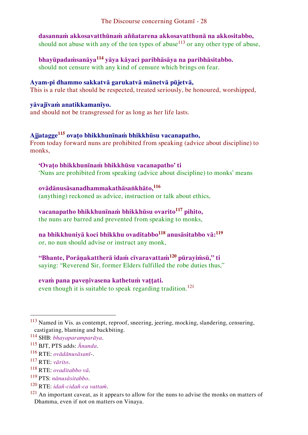**dasannaṁ akkosavatthūnaṁ aññatarena akkosavatthunā na akkositabbo,**  should not abuse with any of the ten types of abuse<sup>113</sup> or any other type of abuse.

**bhayūpadaṁsanāya<sup>114</sup> yāya kāyaci paribhāsāya na paribhāsitabbo.** should not censure with any kind of censure which brings on fear.

## **Ayam-pi dhammo sakkatvā garukatvā mānetvā pūjetvā,**

This is a rule that should be respected, treated seriously, be honoured, worshipped,

#### **yāvajīvaṁ anatikkamanīyo.**

and should not be transgressed for as long as her life lasts.

## **Ajjatagge<sup>115</sup> ovaṭo bhikkhunīnaṁ bhikkhūsu vacanapatho,**

From today forward nuns are prohibited from speaking (advice about discipline) to monks,

#### **'Ovaṭo bhikkhunīnaṁ bhikkhūsu vacanapatho' ti**

'Nuns are prohibited from speaking (advice about discipline) to monks' means

## **ovādānusāsanadhammakathāsaṅkhāto,<sup>116</sup>**

(anything) reckoned as advice, instruction or talk about ethics,

## **vacanapatho bhikkhunīnaṁ bhikkhūsu ovarito<sup>117</sup> pihito,**

the nuns are barred and prevented from speaking to monks,

## **na bhikkhuniyā koci bhikkhu ovaditabbo<sup>118</sup> anusāsitabbo vā:<sup>119</sup>**

or, no nun should advise or instruct any monk,

#### **"Bhante, Porāṇakattherā idaṁ cīvaravattaṁ<sup>120</sup> pūrayiṁsū," ti**  saying: "Reverend Sir, former Elders fulfilled the robe duties thus,"

#### **evaṁ pana paveṇivasena kathetuṁ vaṭṭati.**

even though it is suitable to speak regarding tradition.<sup>121</sup>

<sup>113</sup> Named in Vis. as contempt, reproof, sneering, jeering, mocking, slandering, censuring, castigating, blaming and backbiting.

<sup>114</sup> SHB: *bhayaparamparāya*.

<sup>115</sup> BJT, PTS adds: *Ānanda*.

<sup>116</sup> RTE: *ovādānusāsanī*-.

<sup>117</sup> RTE: *vārito*.

<sup>118</sup> RTE: *ovaditabbo vā*.

<sup>119</sup> PTS: *nānusāsitabbo*.

<sup>120</sup> RTE: *idañ-cidañ-ca vattaṁ*.

 $121$  An important caveat, as it appears to allow for the nuns to advise the monks on matters of Dhamma, even if not on matters on Vinaya.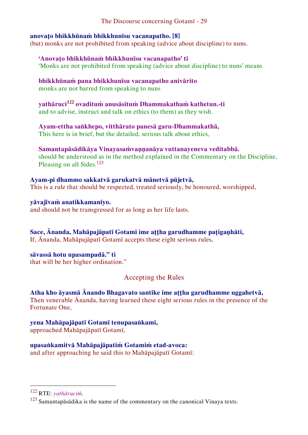## **anovaṭo bhikkhūnaṁ bhikkhunīsu vacanapatho. [8]**

(but) monks are not prohibited from speaking (advice about discipline) to nuns.

**'Anovaṭo bhikkhūnaṁ bhikkhunīsu vacanapatho' ti**  'Monks are not prohibited from speaking (advice about discipline) to nuns' means

**bhikkhūnaṁ pana bhikkhunīsu vacanapatho anivārito**  monks are not barred from speaking to nuns

**yathāruci<sup>122</sup> ovadituṁ anusāsituṁ Dhammakathaṁ kathetun.-ti**  and to advise, instruct and talk on ethics (to them) as they wish.

**Ayam-ettha saṅkhepo, vitthārato panesā garu-Dhammakathā,** This here is in brief, but the detailed, serious talk about ethics,

**Samantapāsādikāya Vinayasaṁvaṇṇanāya vuttanayeneva veditabbā.** should be understood as in the method explained in the Commentary on the Discipline, Pleasing on all Sides.<sup>123</sup>

**Ayam-pi dhammo sakkatvā garukatvā mānetvā pūjetvā,** This is a rule that should be respected, treated seriously, be honoured, worshipped,

**yāvajīvaṁ anatikkamanīyo.** and should not be transgressed for as long as her life lasts.

**Sace, Ānanda, Mahāpajāpatī Gotamī ime aṭṭha garudhamme paṭigaṇhāti,** If, Ānanda, Mahāpajāpatī Gotamī accepts these eight serious rules,

**sāvassā hotu upasampadā." ti** that will be her higher ordination."

<span id="page-29-0"></span>Accepting the Rules

**Atha kho āyasmā Ānando Bhagavato santike ime aṭṭha garudhamme uggahetvā,**

Then venerable Ānanda, having learned these eight serious rules in the presence of the Fortunate One,

**yena Mahāpajāpatī Gotamī tenupasaṅkami,** 

approached Mahāpajāpatī Gotamī,

**upasaṅkamitvā Mahāpajāpatiṁ Gotamiṁ etad-avoca:**

and after approaching he said this to Mahāpajāpatī Gotamī:

<sup>122</sup> RTE: *yathāruciṁ*.

 $123$  Samantapāsādika is the name of the commentary on the canonical Vinaya texts.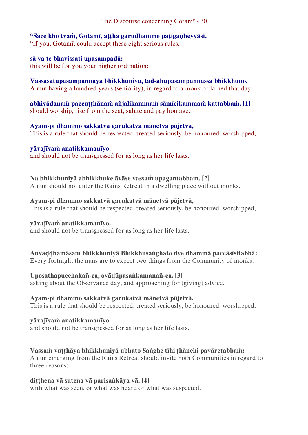#### **"Sace kho tvaṁ, Gotamī, aṭṭha garudhamme paṭigaṇheyyāsi,**  "If you, Gotamī, could accept these eight serious rules,

### **sā va te bhavissati upasampadā:**

this will be for you your higher ordination:

### **Vassasatūpasampannāya bhikkhuniyā, tad-ahūpasampannassa bhikkhuno,**

A nun having a hundred years (seniority), in regard to a monk ordained that day,

**abhivādanaṁ paccuṭṭhānaṁ añjalikammaṁ sāmīcikammaṁ kattabbaṁ. [1]** should worship, rise from the seat, salute and pay homage.

#### **Ayam-pi dhammo sakkatvā garukatvā mānetvā pūjetvā,**

This is a rule that should be respected, treated seriously, be honoured, worshipped,

# **yāvajīvaṁ anatikkamanīyo.**

and should not be transgressed for as long as her life lasts.

#### **Na bhikkhuniyā abhikkhuke āvāse vassaṁ upagantabbaṁ. [2]**

A nun should not enter the Rains Retreat in a dwelling place without monks.

#### **Ayam-pi dhammo sakkatvā garukatvā mānetvā pūjetvā,**

This is a rule that should be respected, treated seriously, be honoured, worshipped,

## **yāvajīvaṁ anatikkamanīyo.**

and should not be transgressed for as long as her life lasts.

#### **Anvaḍḍhamāsaṁ bhikkhuniyā Bhikkhusaṅghato dve dhammā paccāsīsitabbā:** Every fortnight the nuns are to expect two things from the Community of monks:

## **Uposathapucchakañ-ca, ovādūpasaṅkamanañ-ca. [3]**

asking about the Observance day, and approaching for (giving) advice.

## **Ayam-pi dhammo sakkatvā garukatvā mānetvā pūjetvā,**

This is a rule that should be respected, treated seriously, be honoured, worshipped,

## **yāvajīvaṁ anatikkamanīyo.**

and should not be transgressed for as long as her life lasts.

## **Vassaṁ vuṭṭhāya bhikkhuniyā ubhato Saṅghe tīhi ṭhānehi pavāretabbaṁ:**

A nun emerging from the Rains Retreat should invite both Communities in regard to three reasons:

## **diṭṭhena vā sutena vā parisaṅkāya vā. [4]**

with what was seen, or what was heard or what was suspected.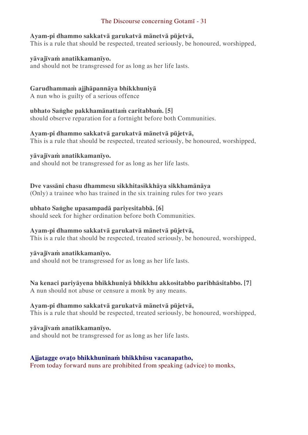#### **Ayam-pi dhammo sakkatvā garukatvā mānetvā pūjetvā,**

This is a rule that should be respected, treated seriously, be honoured, worshipped,

#### **yāvajīvaṁ anatikkamanīyo.**

and should not be transgressed for as long as her life lasts.

## **Garudhammaṁ ajjhāpannāya bhikkhuniyā**

A nun who is guilty of a serious offence

#### **ubhato Saṅghe pakkhamānattaṁ caritabbaṁ. [5]**

should observe reparation for a fortnight before both Communities.

## **Ayam-pi dhammo sakkatvā garukatvā mānetvā pūjetvā,**

This is a rule that should be respected, treated seriously, be honoured, worshipped,

#### **yāvajīvaṁ anatikkamanīyo.**

and should not be transgressed for as long as her life lasts.

## **Dve vassāni chasu dhammesu sikkhitasikkhāya sikkhamānāya**

(Only) a trainee who has trained in the six training rules for two years

## **ubhato Saṅghe upasampadā pariyesitabbā. [6]**

should seek for higher ordination before both Communities.

## **Ayam-pi dhammo sakkatvā garukatvā mānetvā pūjetvā,**

This is a rule that should be respected, treated seriously, be honoured, worshipped,

## **yāvajīvaṁ anatikkamanīyo.**

and should not be transgressed for as long as her life lasts.

## **Na kenaci pariyāyena bhikkhuniyā bhikkhu akkositabbo paribhāsitabbo. [7]**

A nun should not abuse or censure a monk by any means.

## **Ayam-pi dhammo sakkatvā garukatvā mānetvā pūjetvā,**

This is a rule that should be respected, treated seriously, be honoured, worshipped,

## **yāvajīvaṁ anatikkamanīyo.**

and should not be transgressed for as long as her life lasts.

## **Ajjatagge ovaṭo bhikkhunīnaṁ bhikkhūsu vacanapatho,**

From today forward nuns are prohibited from speaking (advice) to monks,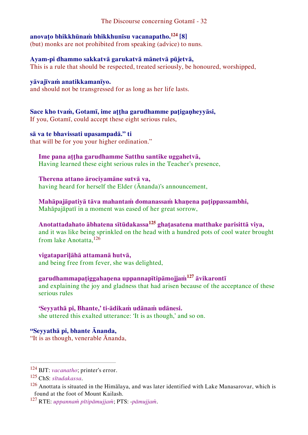## **anovaṭo bhikkhūnaṁ bhikkhunīsu vacanapatho.<sup>124</sup> [8]**

(but) monks are not prohibited from speaking (advice) to nuns.

## **Ayam-pi dhammo sakkatvā garukatvā mānetvā pūjetvā,**

This is a rule that should be respected, treated seriously, be honoured, worshipped,

## **yāvajīvaṁ anatikkamanīyo.**

and should not be transgressed for as long as her life lasts.

## **Sace kho tvaṁ, Gotamī, ime aṭṭha garudhamme paṭigaṇheyyāsi,**

If you, Gotamī, could accept these eight serious rules,

## **sā va te bhavissati upasampadā." ti**

that will be for you your higher ordination."

## **Ime pana aṭṭha garudhamme Satthu santike uggahetvā,**

Having learned these eight serious rules in the Teacher's presence,

## **Therena attano ārociyamāne sutvā va,**

having heard for herself the Elder (Ānanda)'s announcement,

## **Mahāpajāpatiyā tāva mahantaṁ domanassaṁ khaṇena paṭippassambhi,**

Mahāpajāpatī in a moment was eased of her great sorrow,

## **Anotattadahato ābhatena sītūdakassa<sup>125</sup> ghaṭasatena matthake parisittā viya,** and it was like being sprinkled on the head with a hundred pots of cool water brought from lake Anotatta,<sup>126</sup>

**vigatapariḷāhā attamanā hutvā,**  and being free from fever, she was delighted,

## **garudhammapaṭiggahaṇena uppannapītipāmojjaṁ<sup>127</sup> āvikarontī**

and explaining the joy and gladness that had arisen because of the acceptance of these serious rules

## **'Seyyathā pi, Bhante,' ti-ādikaṁ udānaṁ udānesi.**

she uttered this exalted utterance: 'It is as though,' and so on.

#### **"Seyyathā pi, bhante Ānanda,**  "It is as though, venerable Ānanda,

<sup>124</sup> BJT: *vacanatho*; printer's error.

<sup>125</sup> ChS: *sītudakassa*.

<sup>&</sup>lt;sup>126</sup> Anottata is situated in the Himālaya, and was later identified with Lake Manasarovar, which is found at the foot of Mount Kailash.

<sup>127</sup> RTE: *uppannaṁ pītipāmujjaṁ*; PTS: -*pāmujjaṁ*.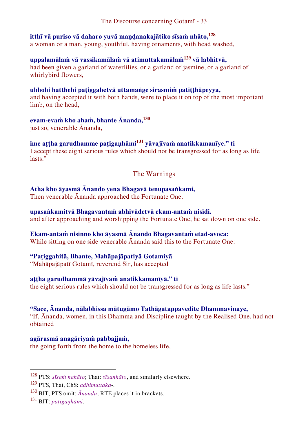## **itthī vā puriso vā daharo yuvā maṇḍanakajātiko sīsaṁ nhāto,<sup>128</sup>**

a woman or a man, young, youthful, having ornaments, with head washed,

## **uppalamālaṁ vā vassikamālaṁ vā atimuttakamālaṁ<sup>129</sup> vā labhitvā,**

had been given a garland of waterlilies, or a garland of jasmine, or a garland of whirlybird flowers,

## **ubhohi hatthehi paṭiggahetvā uttamaṅge sirasmiṁ patiṭṭhāpeyya,**

and having accepted it with both hands, were to place it on top of the most important limb, on the head,

## **evam-evaṁ kho ahaṁ, bhante Ānanda,<sup>130</sup>**

just so, venerable Ānanda,

### **ime aṭṭha garudhamme paṭigaṇhāmi<sup>131</sup> yāvajīvaṁ anatikkamanīye." ti** I accept these eight serious rules which should not be transgressed for as long as life lasts."

## <span id="page-33-0"></span>The Warnings

## **Atha kho āyasmā Ānando yena Bhagavā tenupasaṅkami,**

Then venerable Ānanda approached the Fortunate One,

## **upasaṅkamitvā Bhagavantaṁ abhivādetvā ekam-antaṁ nisīdi.**

and after approaching and worshipping the Fortunate One, he sat down on one side.

## **Ekam-antaṁ nisinno kho āyasmā Ānando Bhagavantaṁ etad-avoca:**

While sitting on one side venerable Ānanda said this to the Fortunate One:

## **"Paṭiggahitā, Bhante, Mahāpajāpatiyā Gotamiyā**

"Mahāpajāpatī Gotamī, reverend Sir, has accepted

## **aṭṭha garudhammā yāvajīvaṁ anatikkamanīyā." ti**

the eight serious rules which should not be transgressed for as long as life lasts."

## **"Sace, Ānanda, nālabhissa mātugāmo Tathāgatappavedite Dhammavinaye,**

"If, Ānanda, women, in this Dhamma and Discipline taught by the Realised One, had not obtained

## **agārasmā anagāriyaṁ pabbajjaṁ,**

the going forth from the home to the homeless life,

<sup>128</sup> PTS: *sīsaṁ nahāto*; Thai: *sīsanhāto*, and similarly elsewhere.

<sup>129</sup> PTS, Thai, ChS: *adhimuttaka*-.

<sup>130</sup> BJT, PTS omit: *Ānanda*; RTE places it in brackets.

<sup>131</sup> BJT: *paṭigaṇhāmi*.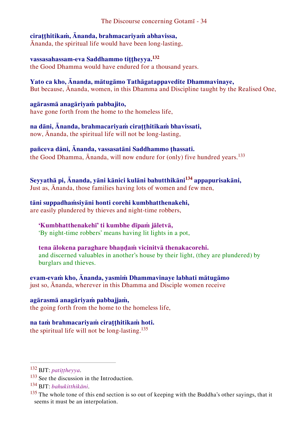## **ciraṭṭhitikaṁ, Ānanda, brahmacariyaṁ abhavissa,**

Ānanda, the spiritual life would have been long-lasting,

## **vassasahassam-eva Saddhammo tiṭṭheyya.<sup>132</sup>**

the Good Dhamma would have endured for a thousand years.

#### **Yato ca kho, Ānanda, mātugāmo Tathāgatappavedite Dhammavinaye,** But because, Ānanda, women, in this Dhamma and Discipline taught by the Realised One,

## **agārasmā anagāriyaṁ pabbajito,**

have gone forth from the home to the homeless life,

#### **na dāni, Ānanda, brahmacariyaṁ ciraṭṭhitikaṁ bhavissati,**  now, Ānanda, the spiritual life will not be long-lasting,

## **pañceva dāni, Ānanda, vassasatāni Saddhammo ṭhassati.**

the Good Dhamma, Ananda, will now endure for (only) five hundred years.<sup>133</sup>

## **Seyyathā pi, Ānanda, yāni kānici kulāni bahutthikāni<sup>134</sup> appapurisakāni,**

Just as, Ānanda, those families having lots of women and few men,

## **tāni suppadhaṁsiyāni honti corehi kumbhatthenakehi,**

are easily plundered by thieves and night-time robbers,

## **'Kumbhatthenakehī' ti kumbhe dīpaṁ jāletvā,**

'By night-time robbers' means having lit lights in a pot,

## **tena ālokena paraghare bhaṇḍaṁ vicinitvā thenakacorehi.**

and discerned valuables in another's house by their light, (they are plundered) by burglars and thieves.

## **evam-evaṁ kho, Ānanda, yasmiṁ Dhammavinaye labhati mātugāmo**

just so, Ānanda, wherever in this Dhamma and Disciple women receive

## **agārasmā anagāriyaṁ pabbajjaṁ,**

the going forth from the home to the homeless life,

## **na taṁ brahmacariyaṁ ciraṭṭhitikaṁ hoti.**

the spiritual life will not be long-lasting.<sup>135</sup>

<sup>132</sup> BJT: *patiṭṭheyya*.

<sup>&</sup>lt;sup>133</sup> See the discussion in the Introduction.

<sup>134</sup> BJT: *bahukitthikāni*.

<sup>&</sup>lt;sup>135</sup> The whole tone of this end section is so out of keeping with the Buddha's other sayings, that it seems it must be an interpolation.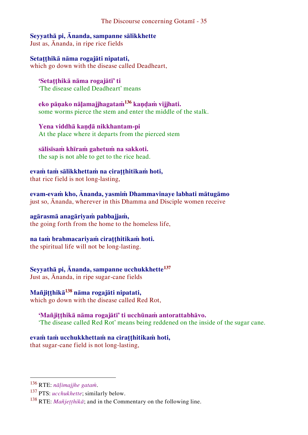**Seyyathā pi, Ānanda, sampanne sālikkhette** 

Just as, Ānanda, in ripe rice fields

**Setaṭṭhikā nāma rogajāti nipatati,**  which go down with the disease called Deadheart,

**'Setaṭṭhikā nāma rogajātī' ti**  'The disease called Deadheart' means

**eko pāṇako nāḷamajjhagataṁ<sup>136</sup> kaṇḍaṁ vijjhati.**  some worms pierce the stem and enter the middle of the stalk.

**Yena viddhā kaṇḍā nikkhantam-pi**  At the place where it departs from the pierced stem

**sālisīsaṁ khīraṁ gahetuṁ na sakkoti.** 

the sap is not able to get to the rice head.

**evaṁ taṁ sālikkhettaṁ na ciraṭṭhitikaṁ hoti,** 

that rice field is not long-lasting,

**evam-evaṁ kho, Ānanda, yasmiṁ Dhammavinaye labhati mātugāmo** just so, Ānanda, wherever in this Dhamma and Disciple women receive

**agārasmā anagāriyaṁ pabbajjaṁ,**  the going forth from the home to the homeless life,

## **na taṁ brahmacariyaṁ ciraṭṭhitikaṁ hoti.**

the spiritual life will not be long-lasting.

**Seyyathā pi, Ānanda, sampanne ucchukkhette<sup>137</sup>**

Just as, Ānanda, in ripe sugar-cane fields

**Mañjiṭṭhikā<sup>138</sup> nāma rogajāti nipatati,** 

which go down with the disease called Red Rot,

## **'Mañjiṭṭhikā nāma rogajātī' ti ucchūnaṁ antorattabhāvo.**

'The disease called Red Rot' means being reddened on the inside of the sugar cane.

## **evaṁ taṁ ucchukkhettaṁ na ciraṭṭhitikaṁ hoti,**

that sugar-cane field is not long-lasting,

<sup>136</sup> RTE: *nāḷimajjhe gataṁ*.

<sup>137</sup> PTS: *ucchukhette*; similarly below.

<sup>&</sup>lt;sup>138</sup> RTE: *Mañjetthikā*; and in the Commentary on the following line.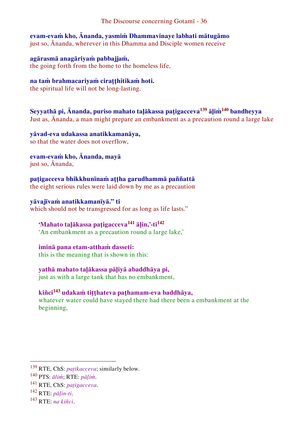**evam-evaṁ kho, Ānanda, yasmiṁ Dhammavinaye labhati mātugāmo** just so, Ānanda, wherever in this Dhamma and Disciple women receive

**agārasmā anagāriyaṁ pabbajjaṁ,**  the going forth from the home to the homeless life,

## **na taṁ brahmacariyaṁ ciraṭṭhitikaṁ hoti.**

the spiritual life will not be long-lasting.

**Seyyathā pi, Ānanda, puriso mahato taḷākassa paṭigacceva<sup>139</sup> āḷiṁ<sup>140</sup> bandheyya** Just as, Ānanda, a man might prepare an embankment as a precaution round a large lake

**yāvad-eva udakassa anatikkamanāya,**  so that the water does not overflow,

**evam-evaṁ kho, Ānanda, mayā**  just so, Ānanda,

**paṭigacceva bhikkhunīnaṁ aṭṭha garudhammā paññattā** the eight serious rules were laid down by me as a precaution

## **yāvajīvaṁ anatikkamanīyā." ti**

which should not be transgressed for as long as life lasts."

## **'Mahato taḷākassa paṭigacceva<sup>141</sup> āḷin,'-ti<sup>142</sup>**

'An embankment as a precaution round a large lake,'

**iminā pana etam-atthaṁ dasseti:**  this is the meaning that is shown in this:

## **yathā mahato taḷākassa pāḷiyā abaddhāya pi,**

just as with a large tank that has no embankment,

## **kiñci<sup>143</sup> udakaṁ tiṭṭhateva paṭhamam-eva baddhāya,**

whatever water could have stayed there had there been a embankment at the beginning,

<sup>139</sup> RTE, ChS: *paṭikacceva*; similarly below.

<sup>140</sup> PTS: *āliṁ*; RTE: *pāḷiṁ*.

<sup>141</sup> RTE, ChS: *paṭigacceva*.

<sup>142</sup> RTE: *pāḷin-ti*.

<sup>143</sup> RTE: *na kiñci*.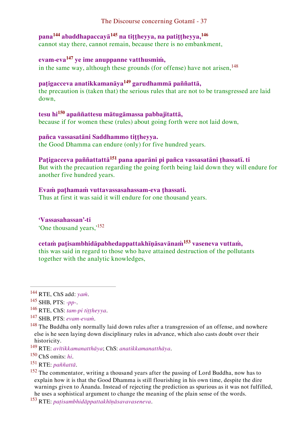## **pana<sup>144</sup> abaddhapaccayā<sup>145</sup> na tiṭṭheyya, na patiṭṭheyya,<sup>146</sup>**

cannot stay there, cannot remain, because there is no embankment,

## **evam-eva<sup>147</sup> ye ime anuppanne vatthusmiṁ,**

in the same way, although these grounds (for offense) have not arisen,  $148$ 

## **paṭigacceva anatikkamanāya<sup>149</sup> garudhammā paññattā,**

the precaution is (taken that) the serious rules that are not to be transgressed are laid down,

## **tesu hi<sup>150</sup> apaññattesu mātugāmassa pabbajitattā,**

because if for women these (rules) about going forth were not laid down,

## **pañca vassasatāni Saddhammo tiṭṭheyya.**

the Good Dhamma can endure (only) for five hundred years.

## **Paṭigacceva paññattattā<sup>151</sup> pana aparāni pi pañca vassasatāni ṭhassatī. ti**

But with the precaution regarding the going forth being laid down they will endure for another five hundred years.

## **Evaṁ paṭhamaṁ vuttavassasahassam-eva ṭhassati.**

Thus at first it was said it will endure for one thousand years.

**'Vassasahassan'-ti**  'One thousand years,'<sup>152</sup>

## **cetaṁ paṭisambhidāpabhedappattakhīṇāsavānaṁ<sup>153</sup> vaseneva vuttaṁ,**

this was said in regard to those who have attained destruction of the pollutants together with the analytic knowledges,

<sup>144</sup> RTE, ChS add: *yaṁ*.

<sup>145</sup> SHB, PTS: *-pp-*.

<sup>146</sup> RTE, ChS: *tam-pi tiṭṭheyya*.

<sup>147</sup> SHB, PTS: *evam-evaṁ*.

<sup>&</sup>lt;sup>148</sup> The Buddha only normally laid down rules after a transgression of an offense, and nowhere else is he seen laying down disciplinary rules in advance, which also casts doubt over their historicity.

<sup>149</sup> RTE: *avītikkamanatthāya*; ChS: *anatikkamanatthāya*.

<sup>150</sup> ChS omits: *hi*.

<sup>151</sup> RTE: *paññattā*.

<sup>&</sup>lt;sup>152</sup> The commentator, writing a thousand years after the passing of Lord Buddha, now has to explain how it is that the Good Dhamma is still flourishing in his own time, despite the dire warnings given to Ānanda. Instead of rejecting the prediction as spurious as it was not fulfilled, he uses a sophistical argument to change the meaning of the plain sense of the words.

<sup>153</sup> RTE: *paṭisambhidāppattakhīṇāsavavaseneva*.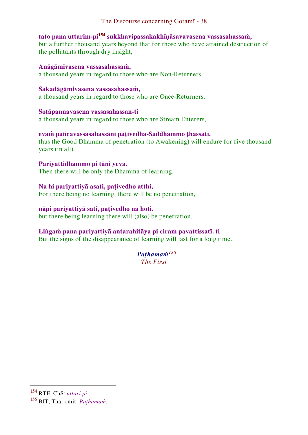## **tato pana uttarim-pi<sup>154</sup> sukkhavipassakakhīṇāsavavasena vassasahassaṁ,**

but a further thousand years beyond that for those who have attained destruction of the pollutants through dry insight,

#### **Anāgāmivasena vassasahassaṁ,**

a thousand years in regard to those who are Non-Returners,

#### **Sakadāgāmivasena vassasahassaṁ,**

a thousand years in regard to those who are Once-Returners,

#### **Sotāpannavasena vassasahassan-ti**

a thousand years in regard to those who are Stream Enterers,

## **evaṁ pañcavassasahassāni paṭivedha-Saddhammo ṭhassati.**

thus the Good Dhamma of penetration (to Awakening) will endure for five thousand years (in all).

#### **Pariyattidhammo pi tāni yeva.**

Then there will be only the Dhamma of learning.

## **Na hi pariyattiyā asati, paṭivedho atthi,**

For there being no learning, there will be no penetration,

## **nāpi pariyattiyā sati, paṭivedho na hoti.**

but there being learning there will (also) be penetration.

## **Liṅgaṁ pana pariyattiyā antarahitāya pi ciraṁ pavattissatī. ti**

But the signs of the disappearance of learning will last for a long time.

## *Paṭhamaṁ<sup>155</sup>*

*The First*

<sup>154</sup> RTE, ChS: *uttari pi*.

<sup>155</sup> BJT, Thai omit: *Paṭhamaṁ*.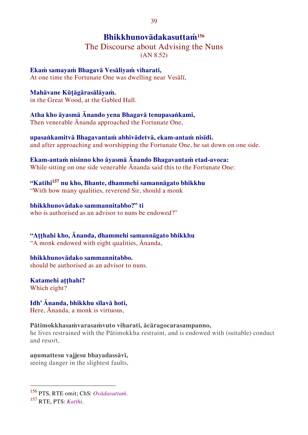## <span id="page-39-0"></span>**Bhikkhunovādakasuttaṁ<sup>156</sup>**

The Discourse about Advising the Nuns (AN 8.52)

**Ekaṁ samayaṁ Bhagavā Vesāliyaṁ viharati,**  At one time the Fortunate One was dwelling near Vesālī,

**Mahāvane Kūṭāgārasālāyaṁ.**  in the Great Wood, at the Gabled Hall.

**Atha kho āyasmā Ānando yena Bhagavā tenupasaṅkami,** 

Then venerable Ānanda approached the Fortunate One,

**upasaṅkamitvā Bhagavantaṁ abhivādetvā, ekam-antaṁ nisīdi.**  and after approaching and worshipping the Fortunate One, he sat down on one side.

**Ekam-antaṁ nisinno kho āyasmā Ānando Bhagavantaṁ etad-avoca:** While sitting on one side venerable Ānanda said this to the Fortunate One:

**"Katihi<sup>157</sup> nu kho, Bhante, dhammehi samannāgato bhikkhu** "With how many qualities, reverend Sir, should a monk

**bhikkhunovādako sammannitabbo?" ti** who is authorised as an advisor to nuns be endowed?"

**"Aṭṭhahi kho, Ānanda, dhammehi samannāgato bhikkhu** "A monk endowed with eight qualities, Ānanda,

**bhikkhunovādako sammannitabbo.**  should be authorised as an advisor to nuns.

**Katamehi aṭṭhahi?**  Which eight?

**Idh' Ānanda, bhikkhu sīlavā hoti,**  Here, Ānanda, a monk is virtuous,

**Pātimokkhasaṁvarasaṁvuto viharati, ācāragocarasampanno,**

he lives restrained with the Pātimokkha restraint, and is endowed with (suitable) conduct and resort,

**aṇumattesu vajjesu bhayadassāvī,**  seeing danger in the slightest faults,

<sup>157</sup> RTE, PTS: *Katīhi*.

<sup>156</sup> PTS, RTE omit; ChS: *Ovādasuttaṁ*.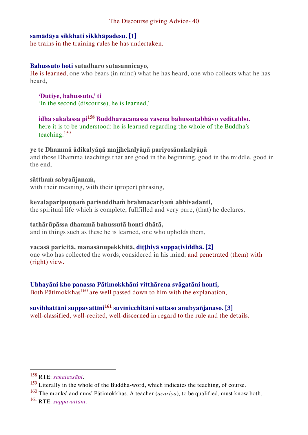#### **samādāya sikkhati sikkhāpadesu. [1]**

he trains in the training rules he has undertaken.

#### **Bahussuto hoti sutadharo sutasannicayo,**

He is learned, one who bears (in mind) what he has heard, one who collects what he has heard,

**'Dutiye, bahussuto,' ti**  'In the second (discourse), he is learned,'

**idha sakalassa pi<sup>158</sup> Buddhavacanassa vasena bahussutabhāvo veditabbo.**  here it is to be understood: he is learned regarding the whole of the Buddha's teaching.<sup>159</sup>

#### **ye te Dhammā ādikalyāṇā majjhekalyāṇā pariyosānakalyāṇā**

and those Dhamma teachings that are good in the beginning, good in the middle, good in the end,

#### **sātthaṁ sabyañjanaṁ,**

with their meaning, with their (proper) phrasing,

#### **kevalaparipuṇṇaṁ parisuddhaṁ brahmacariyaṁ abhivadanti,**

the spiritual life which is complete, fullfilled and very pure, (that) he declares,

#### **tathārūpāssa dhammā bahussutā honti dhātā,**

and in things such as these he is learned, one who upholds them,

#### **vacasā paricitā, manasānupekkhitā, diṭṭhiyā suppaṭividdhā. [2]**

one who has collected the words, considered in his mind, and penetrated (them) with (right) view.

#### **Ubhayāni kho panassa Pātimokkhāni vitthārena svāgatāni honti,**

Both Pātimokkhas<sup>160</sup> are well passed down to him with the explanation,

## **suvibhattāni suppavattīni<sup>161</sup> suvinicchitāni suttaso anubyañjanaso. [3]**

well-classified, well-recited, well-discerned in regard to the rule and the details.

<sup>158</sup> RTE: *sakalassāpi*.

<sup>&</sup>lt;sup>159</sup> Literally in the whole of the Buddha-word, which indicates the teaching, of course.

<sup>160</sup> The monks' and nuns' Pātimokkhas. A teacher (*ācariya*), to be qualified, must know both. <sup>161</sup> RTE: *suppavattāni*.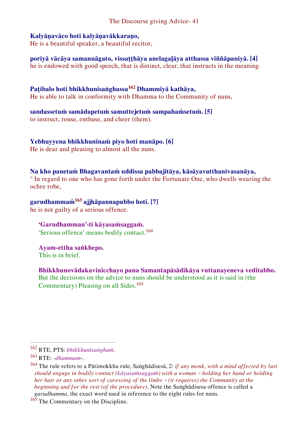#### **Kalyāṇavāco hoti kalyāṇavākkaraṇo,**

He is a beautiful speaker, a beautiful recitor,

**poriyā vācāya samannāgato, vissaṭṭhāya anelagaḷāya atthassa viññāpaniyā. [4]** he is endowed with good speech, that is distinct, clear, that instructs in the meaning.

## **Paṭibalo hoti bhikkhunisaṅghassa<sup>162</sup> Dhammiyā kathāya,**

He is able to talk in conformity with Dhamma to the Community of nuns,

#### **sandassetuṁ samādapetuṁ samuttejetuṁ sampahaṁsetuṁ. [5]**

to instruct, rouse, enthuse, and cheer (them).

#### **Yebhuyyena bhikkhunīnaṁ piyo hoti manāpo. [6]**

He is dear and pleasing to almost all the nuns.

#### **Na kho panetaṁ Bhagavantaṁ uddissa pabbajitāya, kāsāyavatthanivasanāya,**

° In regard to one who has gone forth under the Fortunate One, who dwells wearing the ochre robe,

## **garudhammaṁ<sup>163</sup> ajjhāpannapubbo hoti. [7]**

he is not guilty of a serious offence.

## **'Garudhamman'-ti kāyasaṁsaggaṁ.**

'Serious offence' means bodily contact.<sup>164</sup>

#### **Ayam-ettha saṅkhepo.**  This is in brief.

**Bhikkhunovādakavinicchayo pana Samantapāsādikāya vuttanayeneva veditabbo.**

But the decisions on the advice to nuns should be understood as it is said in (the Commentary) Pleasing on all Sides.<sup>165</sup>

<sup>162</sup> RTE, PTS: *bhikkhunīsaṅghaṁ*.

<sup>163</sup> RTE: -*dhammam*-.

<sup>164</sup> The rule refers to a Pātimokkha rule, Saṅghādisesā, 2: *if any monk, with a mind affected by lust should engage in bodily contact (kāyasaṁsaggaṁ) with a woman – holding her hand or holding her hair or any other sort of caressing of the limbs – (it requires) the Community at the beginning and for the rest (of the procedure)*. Note the Saṅghādisesa offence is called a *garudhamma*, the exact word used in reference to the eight rules for nuns.

<sup>&</sup>lt;sup>165</sup> The Commentary on the Discipline.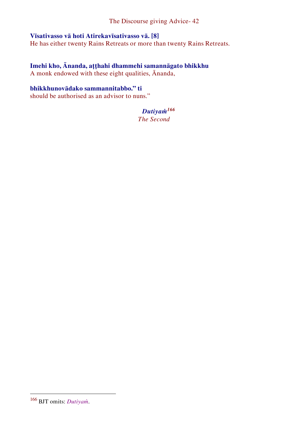## **Vīsativasso vā hoti Atirekavīsativasso vā. [8]**

He has either twenty Rains Retreats or more than twenty Rains Retreats.

## **Imehi kho, Ānanda, aṭṭhahi dhammehi samannāgato bhikkhu**

A monk endowed with these eight qualities, Ānanda,

## **bhikkhunovādako sammannitabbo." ti**

should be authorised as an advisor to nuns."

## *Dutiyaṁ<sup>166</sup>*

*The Second*

<sup>166</sup> BJT omits: *Dutiyaṁ*.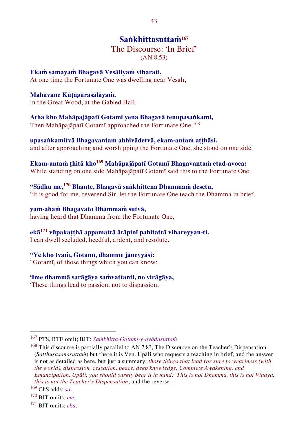## <span id="page-43-0"></span>**Saṅkhittasuttaṁ<sup>167</sup>**

## The Discourse: 'In Brief' (AN 8.53)

**Ekaṁ samayaṁ Bhagavā Vesāliyaṁ viharati,** 

At one time the Fortunate One was dwelling near Vesālī,

#### **Mahāvane Kūṭāgārasālāyaṁ.**

in the Great Wood, at the Gabled Hall.

## **Atha kho Mahāpajāpatī Gotamī yena Bhagavā tenupasaṅkami,**

Then Mahāpajāpatī Gotamī approached the Fortunate One,<sup>168</sup>

#### **upasaṅkamitvā Bhagavantaṁ abhivādetvā, ekam-antaṁ aṭṭhāsi.**  and after approaching and worshipping the Fortunate One, she stood on one side.

**Ekam-antaṁ ṭhitā kho<sup>169</sup> Mahāpajāpatī Gotamī Bhagavantaṁ etad-avoca:** 

While standing on one side Mahāpajāpatī Gotamī said this to the Fortunate One:

#### **"Sādhu me,<sup>170</sup> Bhante, Bhagavā saṅkhittena Dhammaṁ desetu,**  "It is good for me, reverend Sir, let the Fortunate One teach the Dhamma in brief,

**yam-ahaṁ Bhagavato Dhammaṁ sutvā,**  having heard that Dhamma from the Fortunate One,

## **ekā<sup>171</sup> vūpakaṭṭhā appamattā ātāpinī pahitattā vihareyyan-ti.**

I can dwell secluded, heedful, ardent, and resolute.

## **"Ye kho tvaṁ, Gotamī, dhamme jāneyyāsi:**

"Gotamī, of those things which you can know:

#### **'Ime dhammā sarāgāya saṁvattanti, no virāgāya,**

'These things lead to passion, not to dispassion,

<sup>167</sup> PTS, RTE omit; BJT: *Saṁkhitta-Gotami-y-ovādasuttaṁ*.

<sup>&</sup>lt;sup>168</sup> This discourse is partially parallel to AN 7.83, The Discourse on the Teacher's Dispensation (*Satthusāsanasuttaṁ*) but there it is Ven. Upāli who requests a teaching in brief, and the answer is not as detailed as here, but just a summary: *those things that lead for sure to weariness (with the world), dispassion, cessation, peace, deep knowledge, Complete Awakening, and Emancipation, Upāli, you should surely bear it in mind: 'This is not Dhamma, this is not Vinaya, this is not the Teacher's Dispensation*; and the reverse.

<sup>169</sup> ChS adds: *sā*.

<sup>170</sup> BJT omits: *me*.

<sup>171</sup> BJT omits: *ekā*.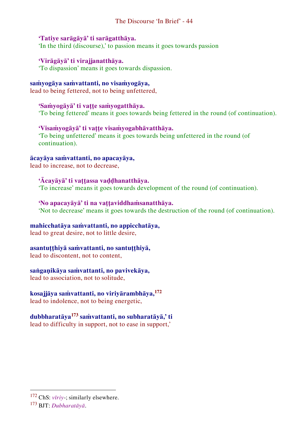#### The Discourse 'In Brief' - 44

### **'Tatiye sarāgāyā' ti sarāgatthāya.**

'In the third (discourse),' to passion means it goes towards passion

#### **'Virāgāyā' ti virajjanatthāya.**

'To dispassion' means it goes towards dispassion.

## **saṁyogāya saṁvattanti, no visaṁyogāya,**

lead to being fettered, not to being unfettered,

#### **'Saṁyogāyā' ti vaṭṭe saṁyogatthāya.**

'To being fettered' means it goes towards being fettered in the round (of continuation).

#### **'Visaṁyogāyā' ti vaṭṭe visaṁyogabhāvatthāya.**

'To being unfettered' means it goes towards being unfettered in the round (of continuation).

#### **ācayāya saṁvattanti, no apacayāya,**

lead to increase, not to decrease,

## **'Ācayāyā' ti vaṭṭassa vaḍḍhanatthāya.**

'To increase' means it goes towards development of the round (of continuation).

#### **'No apacayāyā' ti na vaṭṭaviddhaṁsanatthāya.**

'Not to decrease' means it goes towards the destruction of the round (of continuation).

#### **mahicchatāya saṁvattanti, no appicchatāya,**

lead to great desire, not to little desire,

#### **asantuṭṭhiyā saṁvattanti, no santuṭṭhiyā,**

lead to discontent, not to content,

#### **saṅgaṇikāya saṁvattanti, no pavivekāya,**

lead to association, not to solitude,

## **kosajjāya saṁvattanti, no viriyārambhāya,<sup>172</sup>**

lead to indolence, not to being energetic,

## **dubbharatāya<sup>173</sup> saṁvattanti, no subharatāyā,' ti**

lead to difficulty in support, not to ease in support,'

<sup>172</sup> ChS: *vīriy*-; similarly elsewhere.

<sup>173</sup> BJT: *Dubharatāyā*.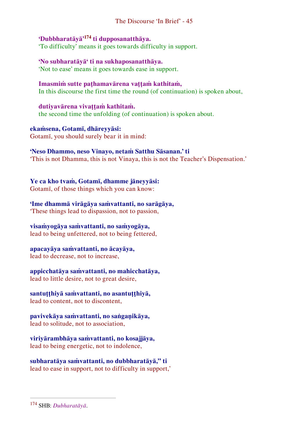#### The Discourse 'In Brief' - 45

## **'Dubbharatāyā'<sup>174</sup> ti dupposanatthāya.**

'To difficulty' means it goes towards difficulty in support.

**'No subharatāyā' ti na sukhaposanatthāya.**  'Not to ease' means it goes towards ease in support.

**Imasmiṁ sutte paṭhamavārena vaṭṭaṁ kathitaṁ,**  In this discourse the first time the round (of continuation) is spoken about,

**dutiyavārena vivaṭṭaṁ kathitaṁ.**  the second time the unfolding (of continuation) is spoken about.

**ekaṁsena, Gotamī, dhāreyyāsi:** Gotamī, you should surely bear it in mind:

#### **'Neso Dhammo, neso Vinayo, netaṁ Satthu Sāsanan.' ti**

'This is not Dhamma, this is not Vinaya, this is not the Teacher's Dispensation.'

**Ye ca kho tvaṁ, Gotamī, dhamme jāneyyāsi:** 

Gotamī, of those things which you can know:

**'Ime dhammā virāgāya saṁvattanti, no sarāgāya,** 

'These things lead to dispassion, not to passion,

## **visaṁyogāya saṁvattanti, no saṁyogāya,**

lead to being unfettered, not to being fettered,

## **apacayāya saṁvattanti, no ācayāya,**

lead to decrease, not to increase,

## **appicchatāya saṁvattanti, no mahicchatāya,**

lead to little desire, not to great desire,

## **santuṭṭhiyā saṁvattanti, no asantuṭṭhiyā,**

lead to content, not to discontent,

# **pavivekāya saṁvattanti, no saṅgaṇikāya,**

lead to solitude, not to association,

**viriyārambhāya saṁvattanti, no kosajjāya,**  lead to being energetic, not to indolence,

**subharatāya saṁvattanti, no dubbharatāyā," ti** lead to ease in support, not to difficulty in support,'